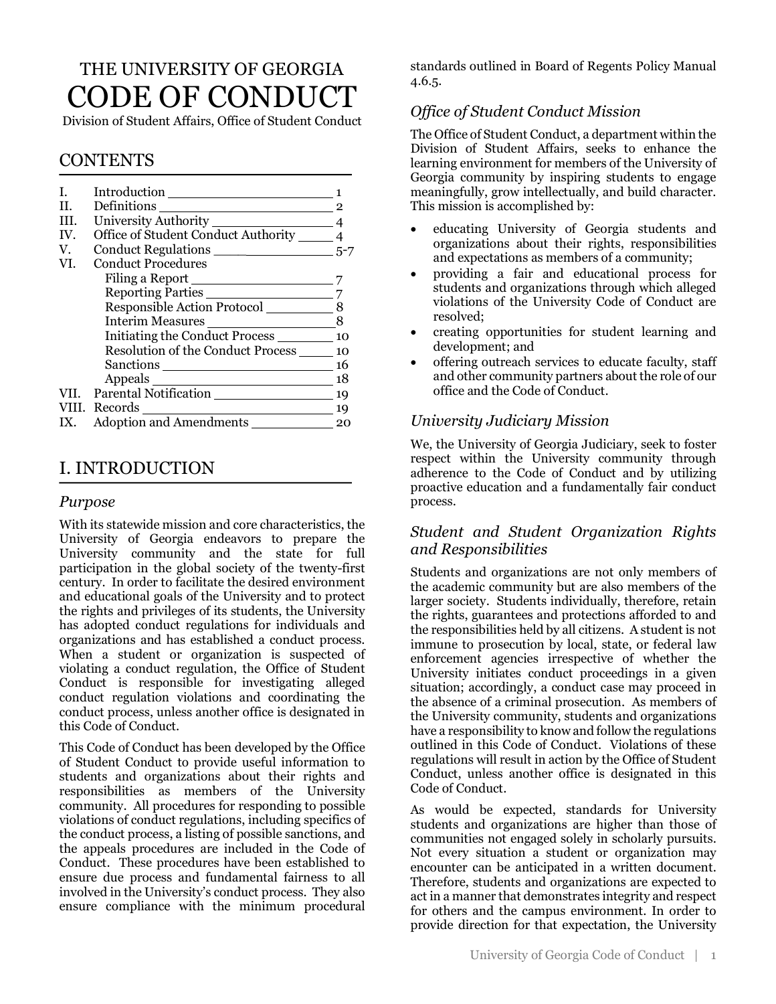# THE UNIVERSITY OF GEORGIA CODE OF CONDUCT

Division of Student Affairs, Office of Student Conduct

# CONTENTS

| T.  |                                               |    |
|-----|-----------------------------------------------|----|
| H.  | Definitions                                   |    |
| HI. |                                               |    |
| IV. | Office of Student Conduct Authority ______ 4  |    |
| V.  |                                               |    |
| VI. | <b>Conduct Procedures</b>                     |    |
|     |                                               |    |
|     | Reporting Parties                             |    |
|     | Responsible Action Protocol                   | 8  |
|     | Interim Measures                              | 8  |
|     | Initiating the Conduct Process ___________ 10 |    |
|     | Resolution of the Conduct Process             | 10 |
|     |                                               | 16 |
|     |                                               | 18 |
|     | VII. Parental Notification                    | 19 |
|     |                                               | 19 |
|     | Adoption and Amendments                       | 20 |

# I. INTRODUCTION

#### *Purpose*

With its statewide mission and core characteristics, the University of Georgia endeavors to prepare the University community and the state for full participation in the global society of the twenty-first century. In order to facilitate the desired environment and educational goals of the University and to protect the rights and privileges of its students, the University has adopted conduct regulations for individuals and organizations and has established a conduct process. When a student or organization is suspected of violating a conduct regulation, the Office of Student Conduct is responsible for investigating alleged conduct regulation violations and coordinating the conduct process, unless another office is designated in this Code of Conduct.

This Code of Conduct has been developed by the Office of Student Conduct to provide useful information to students and organizations about their rights and responsibilities as members of the University community. All procedures for responding to possible violations of conduct regulations, including specifics of the conduct process, a listing of possible sanctions, and the appeals procedures are included in the Code of Conduct. These procedures have been established to ensure due process and fundamental fairness to all involved in the University's conduct process. They also ensure compliance with the minimum procedural standards outlined in Board of Regents Policy Manual 4.6.5.

# *Office of Student Conduct Mission*

The Office of Student Conduct, a department within the Division of Student Affairs, seeks to enhance the learning environment for members of the University of Georgia community by inspiring students to engage meaningfully, grow intellectually, and build character. This mission is accomplished by:

- educating University of Georgia students and organizations about their rights, responsibilities and expectations as members of a community;
- providing a fair and educational process for students and organizations through which alleged violations of the University Code of Conduct are resolved;
- creating opportunities for student learning and development; and
- offering outreach services to educate faculty, staff and other community partners about the role of our office and the Code of Conduct.

# *University Judiciary Mission*

We, the University of Georgia Judiciary, seek to foster respect within the University community through adherence to the Code of Conduct and by utilizing proactive education and a fundamentally fair conduct process.

### *Student and Student Organization Rights and Responsibilities*

Students and organizations are not only members of the academic community but are also members of the larger society. Students individually, therefore, retain the rights, guarantees and protections afforded to and the responsibilities held by all citizens. A student is not immune to prosecution by local, state, or federal law enforcement agencies irrespective of whether the University initiates conduct proceedings in a given situation; accordingly, a conduct case may proceed in the absence of a criminal prosecution. As members of the University community, students and organizations have a responsibility to know and follow the regulations outlined in this Code of Conduct. Violations of these regulations will result in action by the Office of Student Conduct, unless another office is designated in this Code of Conduct.

As would be expected, standards for University students and organizations are higher than those of communities not engaged solely in scholarly pursuits. Not every situation a student or organization may encounter can be anticipated in a written document. Therefore, students and organizations are expected to act in a manner that demonstrates integrity and respect for others and the campus environment. In order to provide direction for that expectation, the University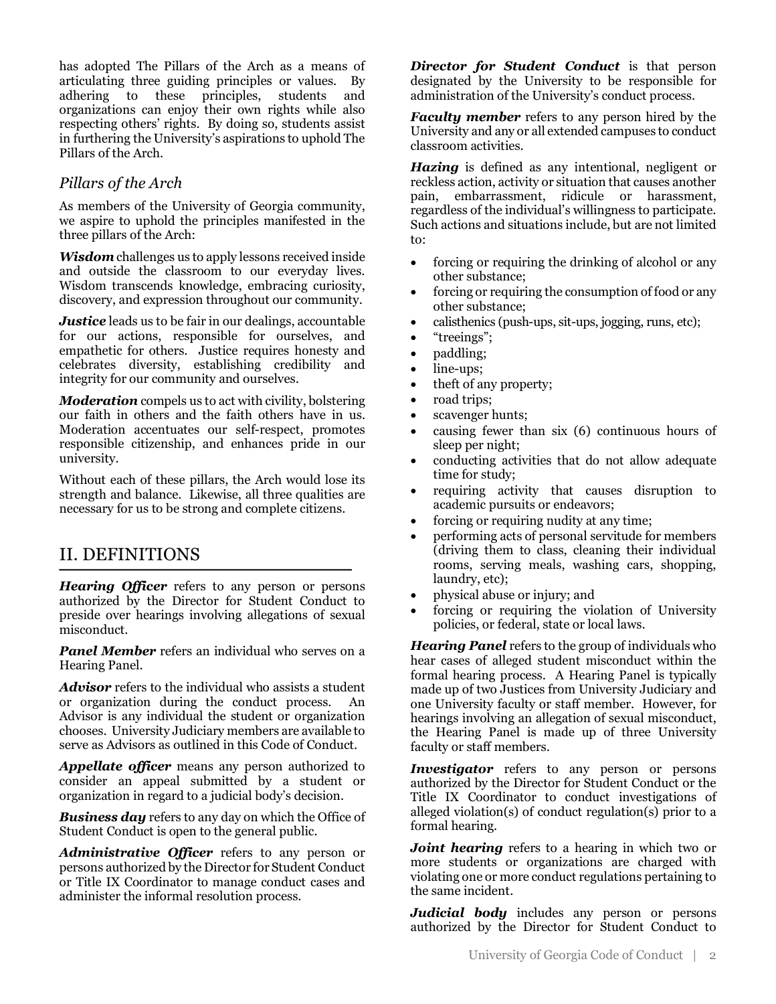has adopted The Pillars of the Arch as a means of articulating three guiding principles or values. By adhering to these principles, students and organizations can enjoy their own rights while also respecting others' rights. By doing so, students assist in furthering the University's aspirations to uphold The Pillars of the Arch.

# *Pillars of the Arch*

As members of the University of Georgia community, we aspire to uphold the principles manifested in the three pillars of the Arch:

*Wisdom* challenges us to apply lessons received inside and outside the classroom to our everyday lives. Wisdom transcends knowledge, embracing curiosity, discovery, and expression throughout our community.

*Justice* leads us to be fair in our dealings, accountable for our actions, responsible for ourselves, and empathetic for others. Justice requires honesty and celebrates diversity, establishing credibility and integrity for our community and ourselves.

*Moderation* compels us to act with civility, bolstering our faith in others and the faith others have in us. Moderation accentuates our self-respect, promotes responsible citizenship, and enhances pride in our university.

Without each of these pillars, the Arch would lose its strength and balance. Likewise, all three qualities are necessary for us to be strong and complete citizens.

# II. DEFINITIONS

*Hearing Officer* refers to any person or persons authorized by the Director for Student Conduct to preside over hearings involving allegations of sexual misconduct.

*Panel Member* refers an individual who serves on a Hearing Panel.

*Advisor* refers to the individual who assists a student or organization during the conduct process. An Advisor is any individual the student or organization chooses. University Judiciary members are available to serve as Advisors as outlined in this Code of Conduct.

*Appellate officer* means any person authorized to consider an appeal submitted by a student or organization in regard to a judicial body's decision.

*Business day* refers to any day on which the Office of Student Conduct is open to the general public.

*Administrative Officer* refers to any person or persons authorized by the Director for Student Conduct or Title IX Coordinator to manage conduct cases and administer the informal resolution process.

*Director for Student Conduct* is that person designated by the University to be responsible for administration of the University's conduct process.

*Faculty member* refers to any person hired by the University and any or all extended campuses to conduct classroom activities.

*Hazing* is defined as any intentional, negligent or reckless action, activity or situation that causes another pain, embarrassment, ridicule or harassment, regardless of the individual's willingness to participate. Such actions and situations include, but are not limited to:

- forcing or requiring the drinking of alcohol or any other substance;
- forcing or requiring the consumption of food or any other substance;
- calisthenics (push-ups, sit-ups, jogging, runs, etc);
- "treeings";
- paddling;
- line-ups;
- theft of any property;
- road trips;
- scavenger hunts;
- causing fewer than six (6) continuous hours of sleep per night;
- conducting activities that do not allow adequate time for study;
- requiring activity that causes disruption to academic pursuits or endeavors;
- forcing or requiring nudity at any time;
- performing acts of personal servitude for members (driving them to class, cleaning their individual rooms, serving meals, washing cars, shopping, laundry, etc);
- physical abuse or injury; and
- forcing or requiring the violation of University policies, or federal, state or local laws.

*Hearing Panel* refers to the group of individuals who hear cases of alleged student misconduct within the formal hearing process. A Hearing Panel is typically made up of two Justices from University Judiciary and one University faculty or staff member. However, for hearings involving an allegation of sexual misconduct, the Hearing Panel is made up of three University faculty or staff members.

*Investigator* refers to any person or persons authorized by the Director for Student Conduct or the Title IX Coordinator to conduct investigations of alleged violation(s) of conduct regulation(s) prior to a formal hearing.

*Joint hearing* refers to a hearing in which two or more students or organizations are charged with violating one or more conduct regulations pertaining to the same incident.

*Judicial body* includes any person or persons authorized by the Director for Student Conduct to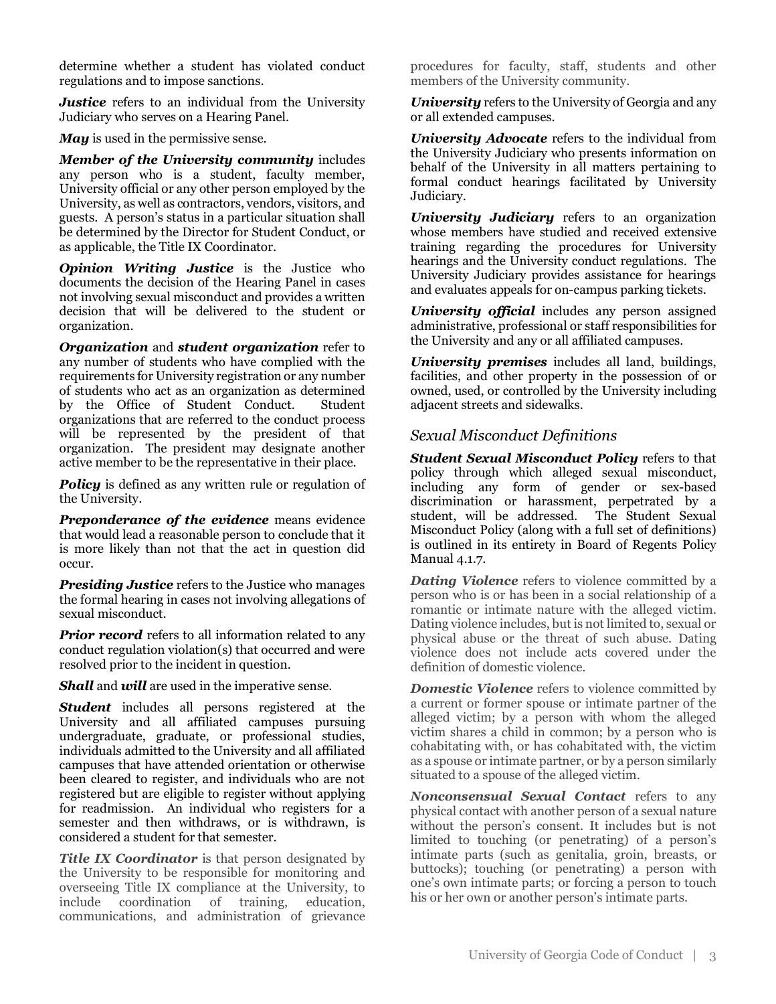determine whether a student has violated conduct regulations and to impose sanctions.

*Justice* refers to an individual from the University Judiciary who serves on a Hearing Panel.

*May* is used in the permissive sense.

*Member of the University community* includes any person who is a student, faculty member, University official or any other person employed by the University, as well as contractors, vendors, visitors, and guests. A person's status in a particular situation shall be determined by the Director for Student Conduct, or as applicable, the Title IX Coordinator.

*Opinion Writing Justice* is the Justice who documents the decision of the Hearing Panel in cases not involving sexual misconduct and provides a written decision that will be delivered to the student or organization.

*Organization* and *student organization* refer to any number of students who have complied with the requirements for University registration or any number of students who act as an organization as determined by the Office of Student Conduct. Student organizations that are referred to the conduct process will be represented by the president of that organization. The president may designate another active member to be the representative in their place.

**Policy** is defined as any written rule or regulation of the University.

*Preponderance of the evidence* means evidence that would lead a reasonable person to conclude that it is more likely than not that the act in question did occur.

*Presiding Justice* refers to the Justice who manages the formal hearing in cases not involving allegations of sexual misconduct.

*Prior record* refers to all information related to any conduct regulation violation(s) that occurred and were resolved prior to the incident in question.

*Shall* and *will* are used in the imperative sense.

*Student* includes all persons registered at the University and all affiliated campuses pursuing undergraduate, graduate, or professional studies, individuals admitted to the University and all affiliated campuses that have attended orientation or otherwise been cleared to register, and individuals who are not registered but are eligible to register without applying for readmission. An individual who registers for a semester and then withdraws, or is withdrawn, is considered a student for that semester.

*Title IX Coordinator* is that person designated by the University to be responsible for monitoring and overseeing Title IX compliance at the University, to include coordination of training, education, communications, and administration of grievance

procedures for faculty, staff, students and other members of the University community.

*University* refers to the University of Georgia and any or all extended campuses.

*University Advocate* refers to the individual from the University Judiciary who presents information on behalf of the University in all matters pertaining to formal conduct hearings facilitated by University Judiciary.

*University Judiciary* refers to an organization whose members have studied and received extensive training regarding the procedures for University hearings and the University conduct regulations. The University Judiciary provides assistance for hearings and evaluates appeals for on-campus parking tickets.

*University official* includes any person assigned administrative, professional or staff responsibilities for the University and any or all affiliated campuses.

*University premises* includes all land, buildings, facilities, and other property in the possession of or owned, used, or controlled by the University including adjacent streets and sidewalks.

# *Sexual Misconduct Definitions*

*Student Sexual Misconduct Policy* refers to that policy through which alleged sexual misconduct, including any form of gender or sex-based discrimination or harassment, perpetrated by a student, will be addressed. The Student Sexual Misconduct Policy (along with a full set of definitions) is outlined in its entirety in Board of Regents Policy Manual 4.1.7.

*Dating Violence* refers to violence committed by a person who is or has been in a social relationship of a romantic or intimate nature with the alleged victim. Dating violence includes, but is not limited to, sexual or physical abuse or the threat of such abuse. Dating violence does not include acts covered under the definition of domestic violence.

*Domestic Violence* refers to violence committed by a current or former spouse or intimate partner of the alleged victim; by a person with whom the alleged victim shares a child in common; by a person who is cohabitating with, or has cohabitated with, the victim as a spouse or intimate partner, or by a person similarly situated to a spouse of the alleged victim.

*Nonconsensual Sexual Contact* refers to any physical contact with another person of a sexual nature without the person's consent. It includes but is not limited to touching (or penetrating) of a person's intimate parts (such as genitalia, groin, breasts, or buttocks); touching (or penetrating) a person with one's own intimate parts; or forcing a person to touch his or her own or another person's intimate parts.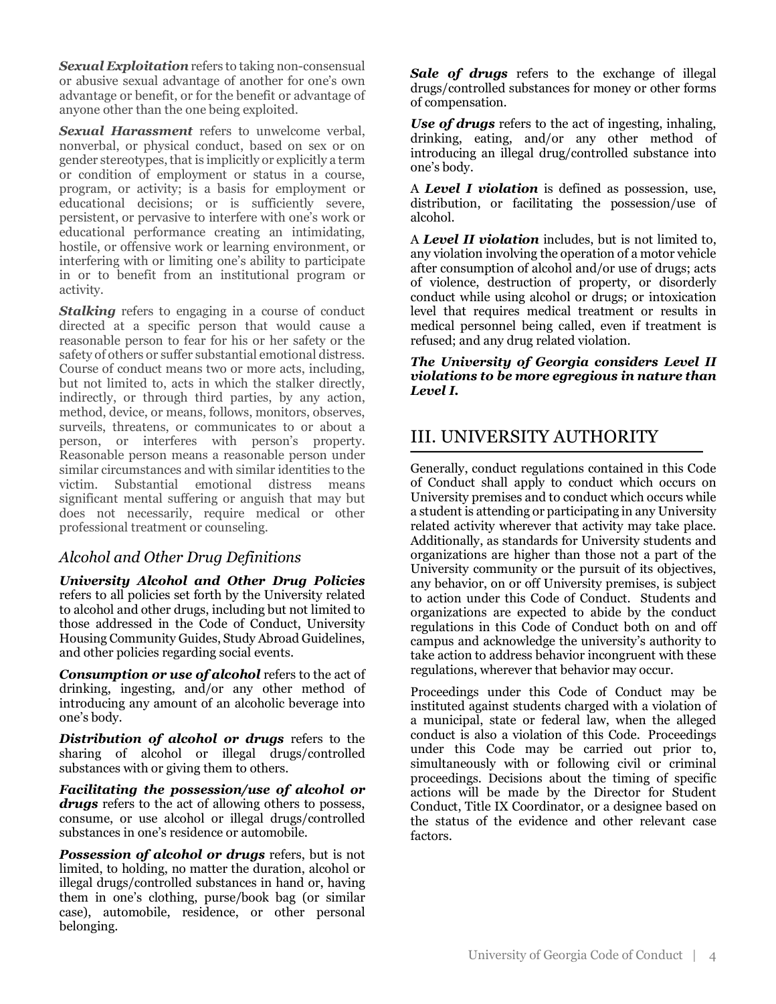*Sexual Exploitation*refers to taking non-consensual or abusive sexual advantage of another for one's own advantage or benefit, or for the benefit or advantage of anyone other than the one being exploited.

*Sexual Harassment* refers to unwelcome verbal, nonverbal, or physical conduct, based on sex or on gender stereotypes, that is implicitly or explicitly a term or condition of employment or status in a course, program, or activity; is a basis for employment or educational decisions; or is sufficiently severe, persistent, or pervasive to interfere with one's work or educational performance creating an intimidating, hostile, or offensive work or learning environment, or interfering with or limiting one's ability to participate in or to benefit from an institutional program or activity.

**Stalking** refers to engaging in a course of conduct directed at a specific person that would cause a reasonable person to fear for his or her safety or the safety of others or suffer substantial emotional distress. Course of conduct means two or more acts, including, but not limited to, acts in which the stalker directly, indirectly, or through third parties, by any action, method, device, or means, follows, monitors, observes, surveils, threatens, or communicates to or about a person, or interferes with person's property. Reasonable person means a reasonable person under similar circumstances and with similar identities to the victim. Substantial emotional distress means significant mental suffering or anguish that may but does not necessarily, require medical or other professional treatment or counseling.

# *Alcohol and Other Drug Definitions*

*University Alcohol and Other Drug Policies*  refers to all policies set forth by the University related to alcohol and other drugs, including but not limited to those addressed in the Code of Conduct, University Housing Community Guides, Study Abroad Guidelines, and other policies regarding social events.

*Consumption or use of alcohol* refers to the act of drinking, ingesting, and/or any other method of introducing any amount of an alcoholic beverage into one's body.

*Distribution of alcohol or drugs* refers to the sharing of alcohol or illegal drugs/controlled substances with or giving them to others.

*Facilitating the possession/use of alcohol or drugs* refers to the act of allowing others to possess, consume, or use alcohol or illegal drugs/controlled substances in one's residence or automobile.

*Possession of alcohol or drugs* refers, but is not limited, to holding, no matter the duration, alcohol or illegal drugs/controlled substances in hand or, having them in one's clothing, purse/book bag (or similar case), automobile, residence, or other personal belonging.

*Sale of drugs* refers to the exchange of illegal drugs/controlled substances for money or other forms of compensation.

*Use of drugs* refers to the act of ingesting, inhaling, drinking, eating, and/or any other method of introducing an illegal drug/controlled substance into one's body.

A *Level I violation* is defined as possession, use, distribution, or facilitating the possession/use of alcohol.

A *Level II violation* includes, but is not limited to, any violation involving the operation of a motor vehicle after consumption of alcohol and/or use of drugs; acts of violence, destruction of property, or disorderly conduct while using alcohol or drugs; or intoxication level that requires medical treatment or results in medical personnel being called, even if treatment is refused; and any drug related violation.

*The University of Georgia considers Level II violations to be more egregious in nature than Level I.*

# III. UNIVERSITY AUTHORITY

Generally, conduct regulations contained in this Code of Conduct shall apply to conduct which occurs on University premises and to conduct which occurs while a student is attending or participating in any University related activity wherever that activity may take place. Additionally, as standards for University students and organizations are higher than those not a part of the University community or the pursuit of its objectives, any behavior, on or off University premises, is subject to action under this Code of Conduct. Students and organizations are expected to abide by the conduct regulations in this Code of Conduct both on and off campus and acknowledge the university's authority to take action to address behavior incongruent with these regulations, wherever that behavior may occur.

Proceedings under this Code of Conduct may be instituted against students charged with a violation of a municipal, state or federal law, when the alleged conduct is also a violation of this Code. Proceedings under this Code may be carried out prior to, simultaneously with or following civil or criminal proceedings. Decisions about the timing of specific actions will be made by the Director for Student Conduct, Title IX Coordinator, or a designee based on the status of the evidence and other relevant case factors.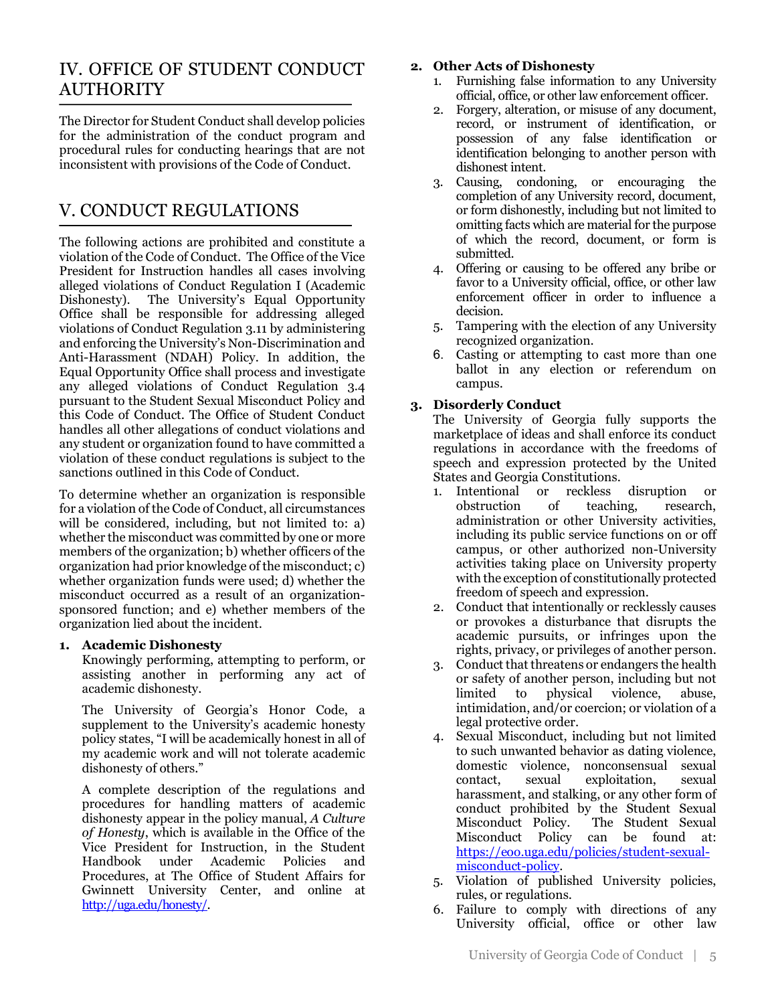# IV. OFFICE OF STUDENT CONDUCT AUTHORITY

The Director for Student Conduct shall develop policies for the administration of the conduct program and procedural rules for conducting hearings that are not inconsistent with provisions of the Code of Conduct.

# V. CONDUCT REGULATIONS

The following actions are prohibited and constitute a violation of the Code of Conduct. The Office of the Vice President for Instruction handles all cases involving alleged violations of Conduct Regulation I (Academic Dishonesty). The University's Equal Opportunity Office shall be responsible for addressing alleged violations of Conduct Regulation 3.11 by administering and enforcing the University's Non-Discrimination and Anti-Harassment (NDAH) Policy. In addition, the Equal Opportunity Office shall process and investigate any alleged violations of Conduct Regulation 3.4 pursuant to the Student Sexual Misconduct Policy and this Code of Conduct. The Office of Student Conduct handles all other allegations of conduct violations and any student or organization found to have committed a violation of these conduct regulations is subject to the sanctions outlined in this Code of Conduct.

To determine whether an organization is responsible for a violation of the Code of Conduct, all circumstances will be considered, including, but not limited to: a) whether the misconduct was committed by one or more members of the organization; b) whether officers of the organization had prior knowledge of the misconduct; c) whether organization funds were used; d) whether the misconduct occurred as a result of an organizationsponsored function; and e) whether members of the organization lied about the incident.

#### **1. Academic Dishonesty**

Knowingly performing, attempting to perform, or assisting another in performing any act of academic dishonesty.

The University of Georgia's Honor Code, a supplement to the University's academic honesty policy states, "I will be academically honest in all of my academic work and will not tolerate academic dishonesty of others."

A complete description of the regulations and procedures for handling matters of academic dishonesty appear in the policy manual, *A Culture of Honesty*, which is available in the Office of the Vice President for Instruction, in the Student Handbook under Academic Policies and Procedures, at The Office of Student Affairs for Gwinnett University Center, and online at http://uga.edu/honesty/.

#### **2. Other Acts of Dishonesty**

- 1. Furnishing false information to any University official, office, or other law enforcement officer.
- 2. Forgery, alteration, or misuse of any document, record, or instrument of identification, or possession of any false identification or identification belonging to another person with dishonest intent.
- 3. Causing, condoning, or encouraging the completion of any University record, document, or form dishonestly, including but not limited to omitting facts which are material for the purpose of which the record, document, or form is submitted.
- 4. Offering or causing to be offered any bribe or favor to a University official, office, or other law enforcement officer in order to influence a decision.
- 5. Tampering with the election of any University recognized organization.
- 6. Casting or attempting to cast more than one ballot in any election or referendum on campus.

### **3. Disorderly Conduct**

The University of Georgia fully supports the marketplace of ideas and shall enforce its conduct regulations in accordance with the freedoms of speech and expression protected by the United States and Georgia Constitutions.

- 1. Intentional or reckless disruption or obstruction of teaching, research, administration or other University activities, including its public service functions on or off campus, or other authorized non-University activities taking place on University property with the exception of constitutionally protected freedom of speech and expression.
- 2. Conduct that intentionally or recklessly causes or provokes a disturbance that disrupts the academic pursuits, or infringes upon the rights, privacy, or privileges of another person.
- 3. Conduct that threatens or endangers the health or safety of another person, including but not limited to physical violence, abuse, intimidation, and/or coercion; or violation of a legal protective order.
- 4. Sexual Misconduct, including but not limited to such unwanted behavior as dating violence, domestic violence, nonconsensual sexual contact, sexual exploitation, sexual harassment, and stalking, or any other form of conduct prohibited by the Student Sexual Misconduct Policy. The Student Sexual Misconduct Policy can be found at: https://eoo.uga.edu/policies/student-sexualmisconduct-policy.
- 5. Violation of published University policies, rules, or regulations.
- 6. Failure to comply with directions of any University official, office or other law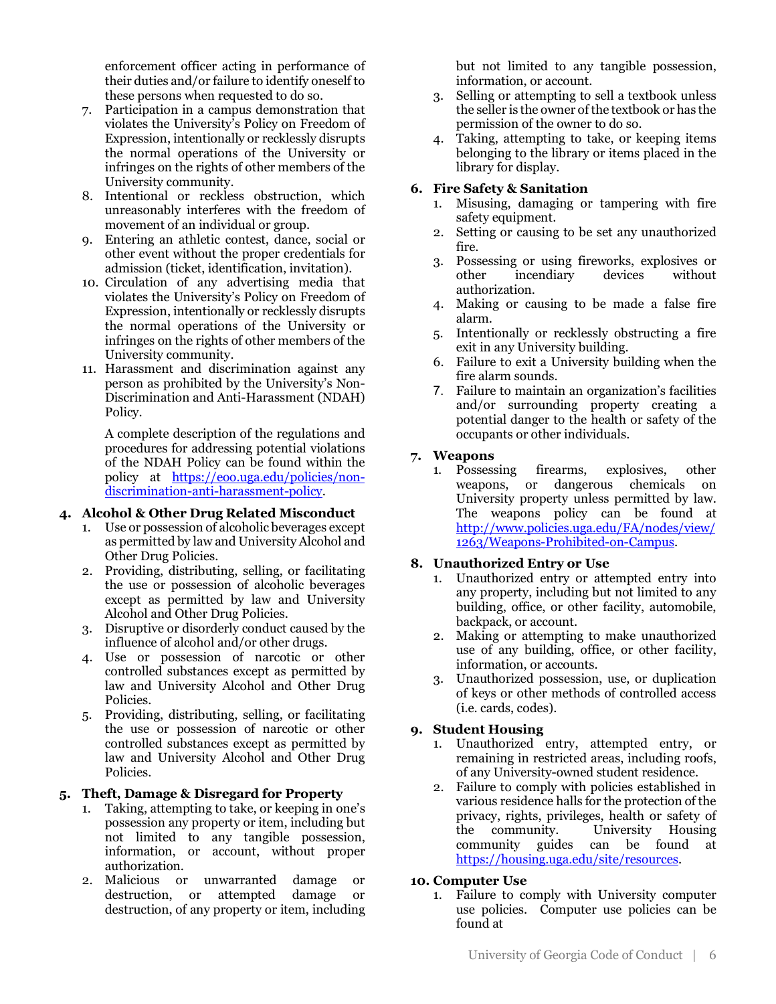enforcement officer acting in performance of their duties and/or failure to identify oneself to these persons when requested to do so.

- 7. Participation in a campus demonstration that violates the University's Policy on Freedom of Expression, intentionally or recklessly disrupts the normal operations of the University or infringes on the rights of other members of the University community.
- 8. Intentional or reckless obstruction, which unreasonably interferes with the freedom of movement of an individual or group.
- 9. Entering an athletic contest, dance, social or other event without the proper credentials for admission (ticket, identification, invitation).
- 10. Circulation of any advertising media that violates the University's Policy on Freedom of Expression, intentionally or recklessly disrupts the normal operations of the University or infringes on the rights of other members of the University community.
- 11. Harassment and discrimination against any person as prohibited by the University's Non-Discrimination and Anti-Harassment (NDAH) Policy.

A complete description of the regulations and procedures for addressing potential violations of the NDAH Policy can be found within the policy at https://eoo.uga.edu/policies/nondiscrimination-anti-harassment-policy.

#### **4. Alcohol & Other Drug Related Misconduct**

- Use or possession of alcoholic beverages except as permitted by law and University Alcohol and Other Drug Policies.
- 2. Providing, distributing, selling, or facilitating the use or possession of alcoholic beverages except as permitted by law and University Alcohol and Other Drug Policies.
- 3. Disruptive or disorderly conduct caused by the influence of alcohol and/or other drugs.
- 4. Use or possession of narcotic or other controlled substances except as permitted by law and University Alcohol and Other Drug Policies.
- 5. Providing, distributing, selling, or facilitating the use or possession of narcotic or other controlled substances except as permitted by law and University Alcohol and Other Drug Policies.

#### **5. Theft, Damage & Disregard for Property**

- 1. Taking, attempting to take, or keeping in one's possession any property or item, including but not limited to any tangible possession, information, or account, without proper authorization.
- 2. Malicious or unwarranted damage or destruction, or attempted damage or destruction, of any property or item, including

but not limited to any tangible possession, information, or account.

- 3. Selling or attempting to sell a textbook unless the seller is the owner of the textbook or has the permission of the owner to do so.
- 4. Taking, attempting to take, or keeping items belonging to the library or items placed in the library for display.

#### **6. Fire Safety & Sanitation**

- 1. Misusing, damaging or tampering with fire safety equipment.
- 2. Setting or causing to be set any unauthorized fire.
- 3. Possessing or using fireworks, explosives or other incendiary devices without authorization.
- 4. Making or causing to be made a false fire alarm.
- 5. Intentionally or recklessly obstructing a fire exit in any University building.
- 6. Failure to exit a University building when the fire alarm sounds.
- 7. Failure to maintain an organization's facilities and/or surrounding property creating a potential danger to the health or safety of the occupants or other individuals.

#### **7. Weapons**

1. Possessing firearms, explosives, other weapons, or dangerous chemicals on University property unless permitted by law. The weapons policy can be found at http://www.policies.uga.edu/FA/nodes/view/ 1263/Weapons-Prohibited-on-Campus.

#### **8. Unauthorized Entry or Use**

- 1. Unauthorized entry or attempted entry into any property, including but not limited to any building, office, or other facility, automobile, backpack, or account.
- 2. Making or attempting to make unauthorized use of any building, office, or other facility, information, or accounts.
- 3. Unauthorized possession, use, or duplication of keys or other methods of controlled access (i.e. cards, codes).

#### **9. Student Housing**

- 1. Unauthorized entry, attempted entry, or remaining in restricted areas, including roofs, of any University-owned student residence.
- 2. Failure to comply with policies established in various residence halls for the protection of the privacy, rights, privileges, health or safety of the community. University Housing community guides can be found at https://housing.uga.edu/site/resources.

#### **10. Computer Use**

1. Failure to comply with University computer use policies. Computer use policies can be found at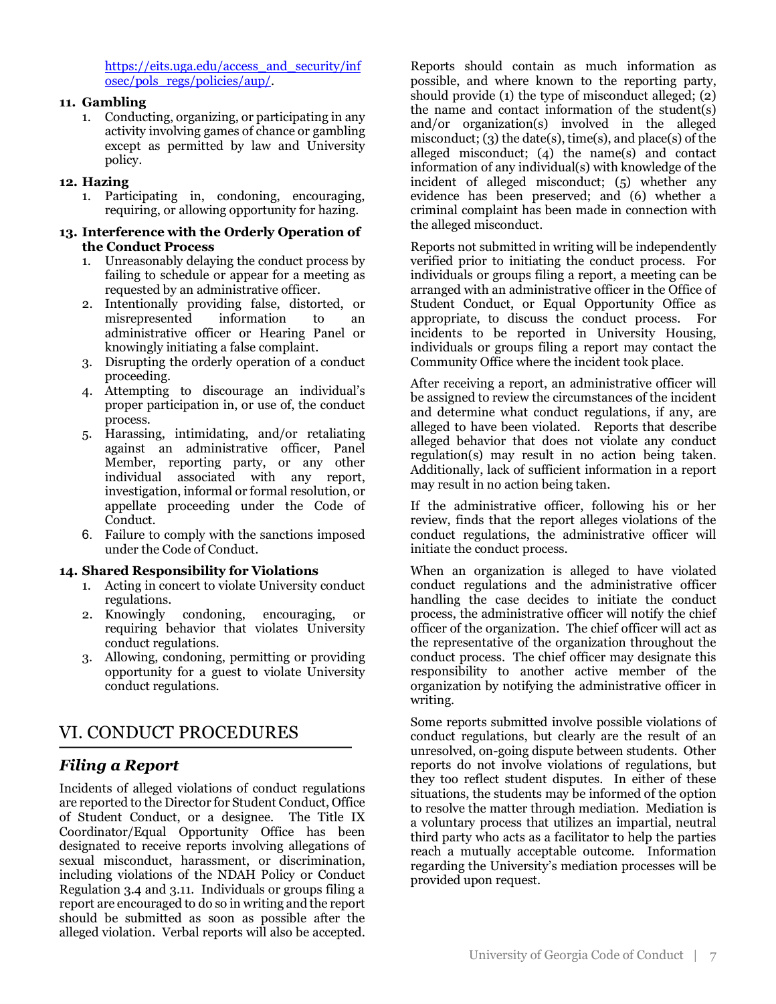https://eits.uga.edu/access\_and\_security/inf osec/pols\_regs/policies/aup/.

#### **11. Gambling**

1. Conducting, organizing, or participating in any activity involving games of chance or gambling except as permitted by law and University policy.

#### **12. Hazing**

1. Participating in, condoning, encouraging, requiring, or allowing opportunity for hazing.

#### **13. Interference with the Orderly Operation of the Conduct Process**

- 1. Unreasonably delaying the conduct process by failing to schedule or appear for a meeting as requested by an administrative officer.
- 2. Intentionally providing false, distorted, or misrepresented information to an administrative officer or Hearing Panel or knowingly initiating a false complaint.
- 3. Disrupting the orderly operation of a conduct proceeding.
- 4. Attempting to discourage an individual's proper participation in, or use of, the conduct process.
- 5. Harassing, intimidating, and/or retaliating against an administrative officer, Panel Member, reporting party, or any other individual associated with any report, investigation, informal or formal resolution, or appellate proceeding under the Code of Conduct.
- 6. Failure to comply with the sanctions imposed under the Code of Conduct.

#### **14. Shared Responsibility for Violations**

- 1. Acting in concert to violate University conduct regulations.
- 2. Knowingly condoning, encouraging, or requiring behavior that violates University conduct regulations.
- 3. Allowing, condoning, permitting or providing opportunity for a guest to violate University conduct regulations.

# VI. CONDUCT PROCEDURES

# *Filing a Report*

Incidents of alleged violations of conduct regulations are reported to the Director for Student Conduct, Office of Student Conduct, or a designee. The Title IX Coordinator/Equal Opportunity Office has been designated to receive reports involving allegations of sexual misconduct, harassment, or discrimination, including violations of the NDAH Policy or Conduct Regulation 3.4 and 3.11. Individuals or groups filing a report are encouraged to do so in writing and the report should be submitted as soon as possible after the alleged violation. Verbal reports will also be accepted.

Reports should contain as much information as possible, and where known to the reporting party, should provide (1) the type of misconduct alleged; (2) the name and contact information of the student(s) and/or organization(s) involved in the alleged misconduct; (3) the date(s), time(s), and place(s) of the alleged misconduct; (4) the name(s) and contact information of any individual(s) with knowledge of the incident of alleged misconduct; (5) whether any evidence has been preserved; and (6) whether a criminal complaint has been made in connection with the alleged misconduct.

Reports not submitted in writing will be independently verified prior to initiating the conduct process. For individuals or groups filing a report, a meeting can be arranged with an administrative officer in the Office of Student Conduct, or Equal Opportunity Office as appropriate, to discuss the conduct process. For incidents to be reported in University Housing, individuals or groups filing a report may contact the Community Office where the incident took place.

After receiving a report, an administrative officer will be assigned to review the circumstances of the incident and determine what conduct regulations, if any, are alleged to have been violated. Reports that describe alleged behavior that does not violate any conduct regulation(s) may result in no action being taken. Additionally, lack of sufficient information in a report may result in no action being taken.

If the administrative officer, following his or her review, finds that the report alleges violations of the conduct regulations, the administrative officer will initiate the conduct process.

When an organization is alleged to have violated conduct regulations and the administrative officer handling the case decides to initiate the conduct process, the administrative officer will notify the chief officer of the organization. The chief officer will act as the representative of the organization throughout the conduct process. The chief officer may designate this responsibility to another active member of the organization by notifying the administrative officer in writing.

Some reports submitted involve possible violations of conduct regulations, but clearly are the result of an unresolved, on-going dispute between students. Other reports do not involve violations of regulations, but they too reflect student disputes. In either of these situations, the students may be informed of the option to resolve the matter through mediation. Mediation is a voluntary process that utilizes an impartial, neutral third party who acts as a facilitator to help the parties reach a mutually acceptable outcome. Information regarding the University's mediation processes will be provided upon request.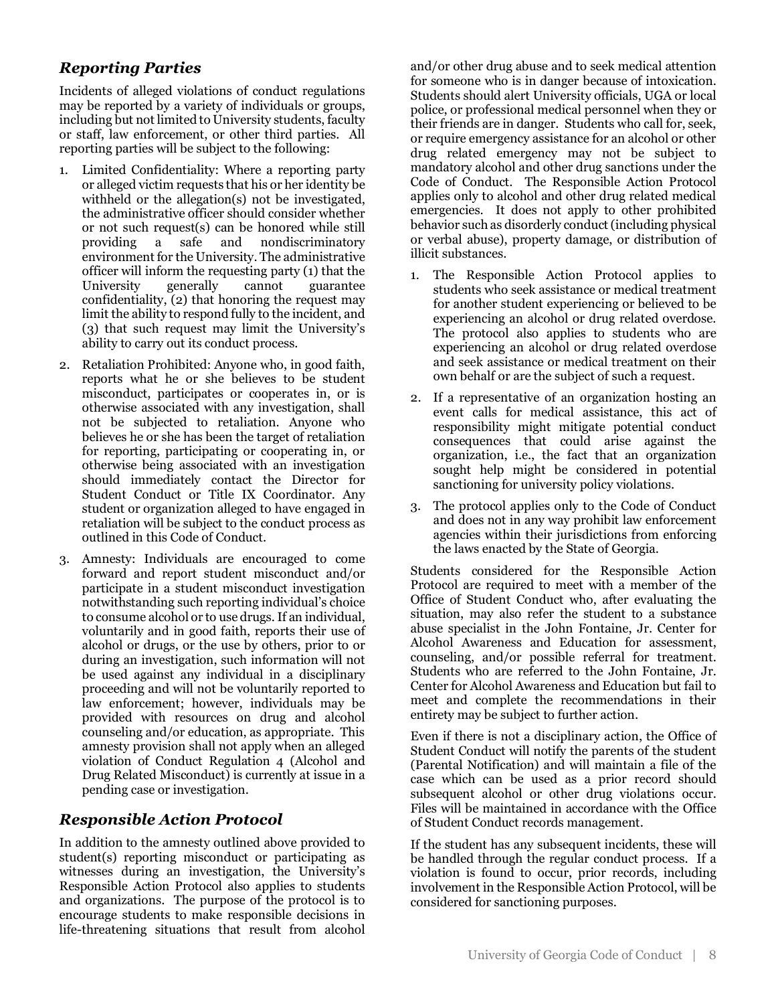# *Reporting Parties*

Incidents of alleged violations of conduct regulations may be reported by a variety of individuals or groups, including but not limited to University students, faculty or staff, law enforcement, or other third parties. All reporting parties will be subject to the following:

- Limited Confidentiality: Where a reporting party or alleged victim requests that his or her identity be withheld or the allegation(s) not be investigated, the administrative officer should consider whether or not such request(s) can be honored while still providing a safe and nondiscriminatory environment for the University. The administrative officer will inform the requesting party (1) that the University generally cannot guarantee confidentiality, (2) that honoring the request may limit the ability to respond fully to the incident, and (3) that such request may limit the University's ability to carry out its conduct process.
- 2. Retaliation Prohibited: Anyone who, in good faith, reports what he or she believes to be student misconduct, participates or cooperates in, or is otherwise associated with any investigation, shall not be subjected to retaliation. Anyone who believes he or she has been the target of retaliation for reporting, participating or cooperating in, or otherwise being associated with an investigation should immediately contact the Director for Student Conduct or Title IX Coordinator. Any student or organization alleged to have engaged in retaliation will be subject to the conduct process as outlined in this Code of Conduct.
- 3. Amnesty: Individuals are encouraged to come forward and report student misconduct and/or participate in a student misconduct investigation notwithstanding such reporting individual's choice to consume alcohol or to use drugs. If an individual, voluntarily and in good faith, reports their use of alcohol or drugs, or the use by others, prior to or during an investigation, such information will not be used against any individual in a disciplinary proceeding and will not be voluntarily reported to law enforcement; however, individuals may be provided with resources on drug and alcohol counseling and/or education, as appropriate. This amnesty provision shall not apply when an alleged violation of Conduct Regulation 4 (Alcohol and Drug Related Misconduct) is currently at issue in a pending case or investigation.

# *Responsible Action Protocol*

In addition to the amnesty outlined above provided to student(s) reporting misconduct or participating as witnesses during an investigation, the University's Responsible Action Protocol also applies to students and organizations. The purpose of the protocol is to encourage students to make responsible decisions in life-threatening situations that result from alcohol and/or other drug abuse and to seek medical attention for someone who is in danger because of intoxication. Students should alert University officials, UGA or local police, or professional medical personnel when they or their friends are in danger. Students who call for, seek, or require emergency assistance for an alcohol or other drug related emergency may not be subject to mandatory alcohol and other drug sanctions under the Code of Conduct. The Responsible Action Protocol applies only to alcohol and other drug related medical emergencies. It does not apply to other prohibited behavior such as disorderly conduct (including physical or verbal abuse), property damage, or distribution of illicit substances.

- 1. The Responsible Action Protocol applies to students who seek assistance or medical treatment for another student experiencing or believed to be experiencing an alcohol or drug related overdose. The protocol also applies to students who are experiencing an alcohol or drug related overdose and seek assistance or medical treatment on their own behalf or are the subject of such a request.
- 2. If a representative of an organization hosting an event calls for medical assistance, this act of responsibility might mitigate potential conduct consequences that could arise against the organization, i.e., the fact that an organization sought help might be considered in potential sanctioning for university policy violations.
- 3. The protocol applies only to the Code of Conduct and does not in any way prohibit law enforcement agencies within their jurisdictions from enforcing the laws enacted by the State of Georgia.

Students considered for the Responsible Action Protocol are required to meet with a member of the Office of Student Conduct who, after evaluating the situation, may also refer the student to a substance abuse specialist in the John Fontaine, Jr. Center for Alcohol Awareness and Education for assessment, counseling, and/or possible referral for treatment. Students who are referred to the John Fontaine, Jr. Center for Alcohol Awareness and Education but fail to meet and complete the recommendations in their entirety may be subject to further action.

Even if there is not a disciplinary action, the Office of Student Conduct will notify the parents of the student (Parental Notification) and will maintain a file of the case which can be used as a prior record should subsequent alcohol or other drug violations occur. Files will be maintained in accordance with the Office of Student Conduct records management.

If the student has any subsequent incidents, these will be handled through the regular conduct process. If a violation is found to occur, prior records, including involvement in the Responsible Action Protocol, will be considered for sanctioning purposes.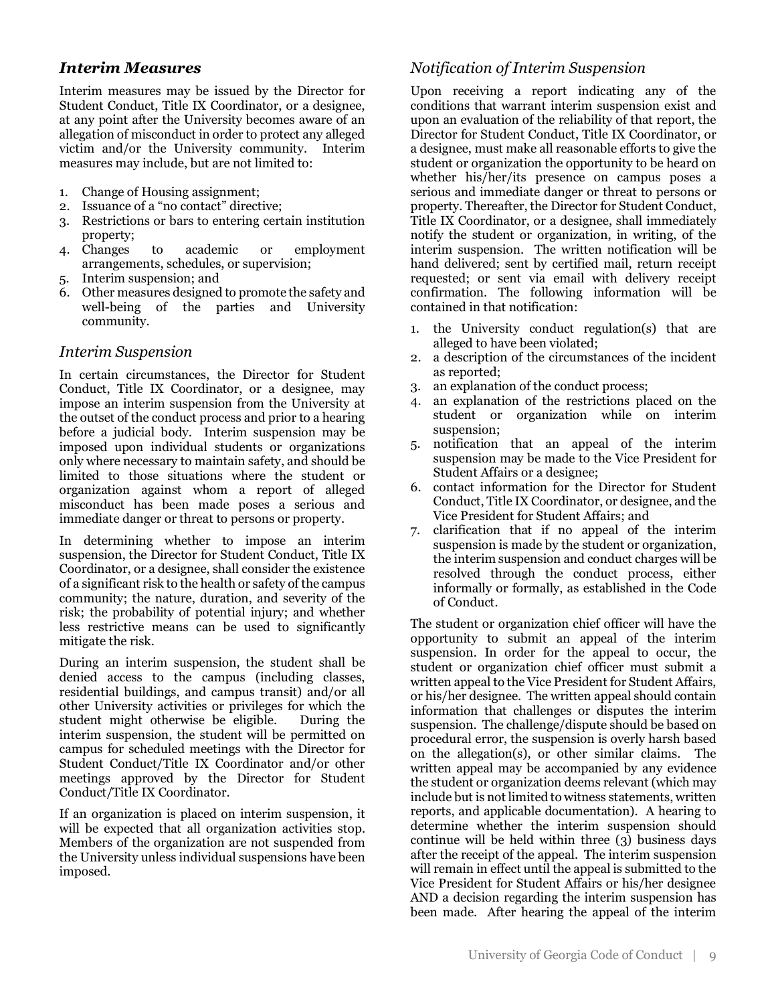# *Interim Measures*

Interim measures may be issued by the Director for Student Conduct, Title IX Coordinator, or a designee, at any point after the University becomes aware of an allegation of misconduct in order to protect any alleged victim and/or the University community. Interim measures may include, but are not limited to:

- 1. Change of Housing assignment;
- 2. Issuance of a "no contact" directive;
- 3. Restrictions or bars to entering certain institution property;
- 4. Changes to academic or employment arrangements, schedules, or supervision;
- 5. Interim suspension; and
- 6. Other measures designed to promote the safety and well-being of the parties and University community.

#### *Interim Suspension*

In certain circumstances, the Director for Student Conduct, Title IX Coordinator, or a designee, may impose an interim suspension from the University at the outset of the conduct process and prior to a hearing before a judicial body. Interim suspension may be imposed upon individual students or organizations only where necessary to maintain safety, and should be limited to those situations where the student or organization against whom a report of alleged misconduct has been made poses a serious and immediate danger or threat to persons or property.

In determining whether to impose an interim suspension, the Director for Student Conduct, Title IX Coordinator, or a designee, shall consider the existence of a significant risk to the health or safety of the campus community; the nature, duration, and severity of the risk; the probability of potential injury; and whether less restrictive means can be used to significantly mitigate the risk.

During an interim suspension, the student shall be denied access to the campus (including classes, residential buildings, and campus transit) and/or all other University activities or privileges for which the student might otherwise be eligible. During the interim suspension, the student will be permitted on campus for scheduled meetings with the Director for Student Conduct/Title IX Coordinator and/or other meetings approved by the Director for Student Conduct/Title IX Coordinator.

If an organization is placed on interim suspension, it will be expected that all organization activities stop. Members of the organization are not suspended from the University unless individual suspensions have been imposed.

# *Notification of Interim Suspension*

Upon receiving a report indicating any of the conditions that warrant interim suspension exist and upon an evaluation of the reliability of that report, the Director for Student Conduct, Title IX Coordinator, or a designee, must make all reasonable efforts to give the student or organization the opportunity to be heard on whether his/her/its presence on campus poses a serious and immediate danger or threat to persons or property. Thereafter, the Director for Student Conduct, Title IX Coordinator, or a designee, shall immediately notify the student or organization, in writing, of the interim suspension. The written notification will be hand delivered; sent by certified mail, return receipt requested; or sent via email with delivery receipt confirmation. The following information will be contained in that notification:

- 1. the University conduct regulation(s) that are alleged to have been violated;
- 2. a description of the circumstances of the incident as reported;
- 3. an explanation of the conduct process;
- 4. an explanation of the restrictions placed on the student or organization while on interim suspension;
- 5. notification that an appeal of the interim suspension may be made to the Vice President for Student Affairs or a designee;
- 6. contact information for the Director for Student Conduct, Title IX Coordinator, or designee, and the Vice President for Student Affairs; and
- 7. clarification that if no appeal of the interim suspension is made by the student or organization, the interim suspension and conduct charges will be resolved through the conduct process, either informally or formally, as established in the Code of Conduct.

The student or organization chief officer will have the opportunity to submit an appeal of the interim suspension. In order for the appeal to occur, the student or organization chief officer must submit a written appeal to the Vice President for Student Affairs, or his/her designee. The written appeal should contain information that challenges or disputes the interim suspension. The challenge/dispute should be based on procedural error, the suspension is overly harsh based on the allegation(s), or other similar claims. The written appeal may be accompanied by any evidence the student or organization deems relevant (which may include but is not limited to witness statements, written reports, and applicable documentation). A hearing to determine whether the interim suspension should continue will be held within three (3) business days after the receipt of the appeal. The interim suspension will remain in effect until the appeal is submitted to the Vice President for Student Affairs or his/her designee AND a decision regarding the interim suspension has been made. After hearing the appeal of the interim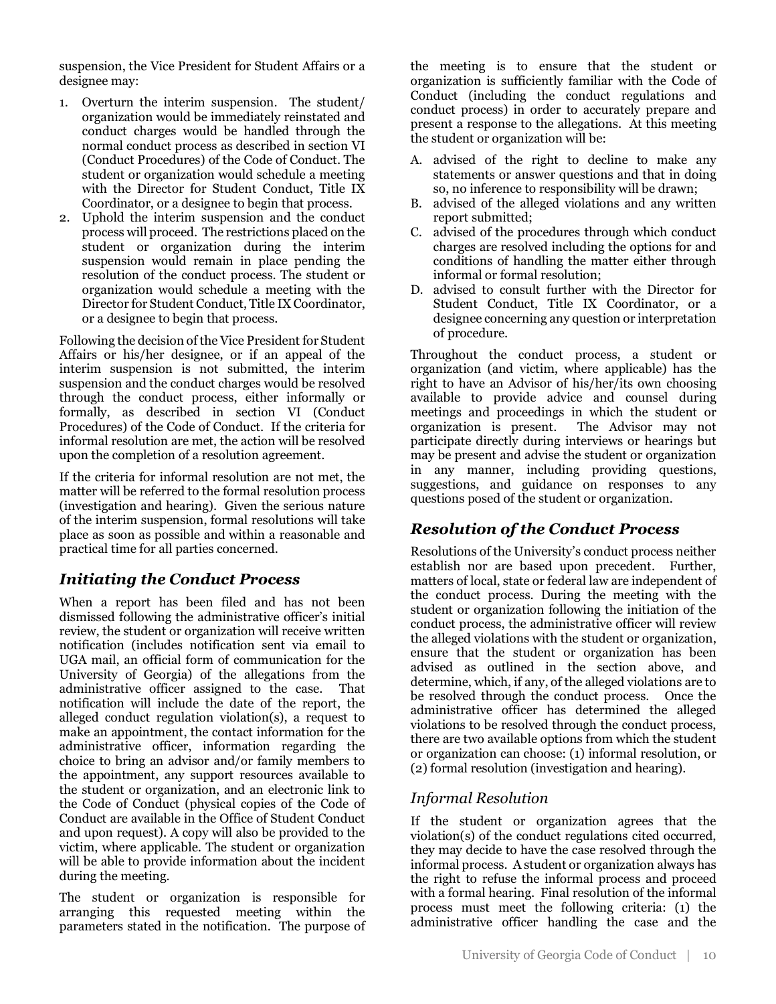suspension, the Vice President for Student Affairs or a designee may:

- 1. Overturn the interim suspension. The student/ organization would be immediately reinstated and conduct charges would be handled through the normal conduct process as described in section VI (Conduct Procedures) of the Code of Conduct. The student or organization would schedule a meeting with the Director for Student Conduct, Title IX Coordinator, or a designee to begin that process.
- 2. Uphold the interim suspension and the conduct process will proceed. The restrictions placed on the student or organization during the interim suspension would remain in place pending the resolution of the conduct process. The student or organization would schedule a meeting with the Director for Student Conduct, Title IX Coordinator, or a designee to begin that process.

Following the decision of the Vice President for Student Affairs or his/her designee, or if an appeal of the interim suspension is not submitted, the interim suspension and the conduct charges would be resolved through the conduct process, either informally or formally, as described in section VI (Conduct Procedures) of the Code of Conduct. If the criteria for informal resolution are met, the action will be resolved upon the completion of a resolution agreement.

If the criteria for informal resolution are not met, the matter will be referred to the formal resolution process (investigation and hearing). Given the serious nature of the interim suspension, formal resolutions will take place as soon as possible and within a reasonable and practical time for all parties concerned.

# *Initiating the Conduct Process*

When a report has been filed and has not been dismissed following the administrative officer's initial review, the student or organization will receive written notification (includes notification sent via email to UGA mail, an official form of communication for the University of Georgia) of the allegations from the administrative officer assigned to the case. That notification will include the date of the report, the alleged conduct regulation violation(s), a request to make an appointment, the contact information for the administrative officer, information regarding the choice to bring an advisor and/or family members to the appointment, any support resources available to the student or organization, and an electronic link to the Code of Conduct (physical copies of the Code of Conduct are available in the Office of Student Conduct and upon request). A copy will also be provided to the victim, where applicable. The student or organization will be able to provide information about the incident during the meeting.

The student or organization is responsible for arranging this requested meeting within the parameters stated in the notification. The purpose of

the meeting is to ensure that the student or organization is sufficiently familiar with the Code of Conduct (including the conduct regulations and conduct process) in order to accurately prepare and present a response to the allegations. At this meeting the student or organization will be:

- A. advised of the right to decline to make any statements or answer questions and that in doing so, no inference to responsibility will be drawn;
- B. advised of the alleged violations and any written report submitted;
- C. advised of the procedures through which conduct charges are resolved including the options for and conditions of handling the matter either through informal or formal resolution;
- D. advised to consult further with the Director for Student Conduct, Title IX Coordinator, or a designee concerning any question or interpretation of procedure.

Throughout the conduct process, a student or organization (and victim, where applicable) has the right to have an Advisor of his/her/its own choosing available to provide advice and counsel during meetings and proceedings in which the student or organization is present. The Advisor may not participate directly during interviews or hearings but may be present and advise the student or organization in any manner, including providing questions, suggestions, and guidance on responses to any questions posed of the student or organization.

# *Resolution of the Conduct Process*

Resolutions of the University's conduct process neither establish nor are based upon precedent. Further, matters of local, state or federal law are independent of the conduct process. During the meeting with the student or organization following the initiation of the conduct process, the administrative officer will review the alleged violations with the student or organization, ensure that the student or organization has been advised as outlined in the section above, and determine, which, if any, of the alleged violations are to be resolved through the conduct process. Once the administrative officer has determined the alleged violations to be resolved through the conduct process, there are two available options from which the student or organization can choose: (1) informal resolution, or (2) formal resolution (investigation and hearing).

# *Informal Resolution*

If the student or organization agrees that the violation(s) of the conduct regulations cited occurred, they may decide to have the case resolved through the informal process. A student or organization always has the right to refuse the informal process and proceed with a formal hearing. Final resolution of the informal process must meet the following criteria: (1) the administrative officer handling the case and the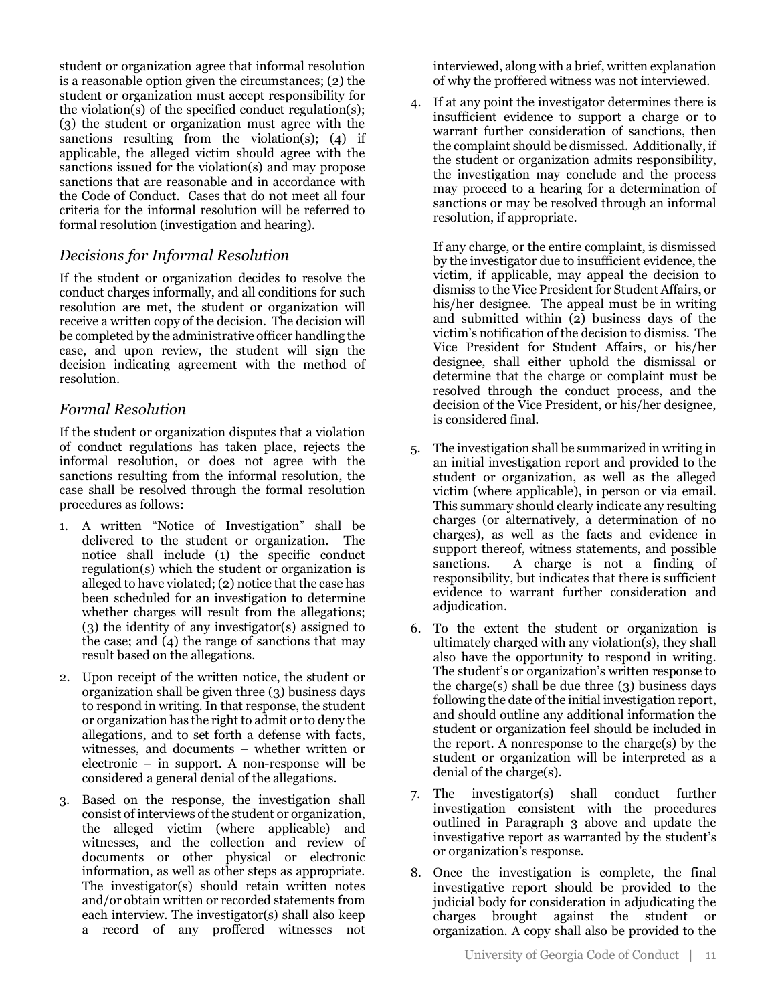student or organization agree that informal resolution is a reasonable option given the circumstances; (2) the student or organization must accept responsibility for the violation(s) of the specified conduct regulation(s); (3) the student or organization must agree with the sanctions resulting from the violation(s);  $(4)$  if applicable, the alleged victim should agree with the sanctions issued for the violation(s) and may propose sanctions that are reasonable and in accordance with the Code of Conduct. Cases that do not meet all four criteria for the informal resolution will be referred to formal resolution (investigation and hearing).

# *Decisions for Informal Resolution*

If the student or organization decides to resolve the conduct charges informally, and all conditions for such resolution are met, the student or organization will receive a written copy of the decision. The decision will be completed by the administrative officer handling the case, and upon review, the student will sign the decision indicating agreement with the method of resolution.

# *Formal Resolution*

If the student or organization disputes that a violation of conduct regulations has taken place, rejects the informal resolution, or does not agree with the sanctions resulting from the informal resolution, the case shall be resolved through the formal resolution procedures as follows:

- 1. A written "Notice of Investigation" shall be delivered to the student or organization. The notice shall include (1) the specific conduct regulation(s) which the student or organization is alleged to have violated; (2) notice that the case has been scheduled for an investigation to determine whether charges will result from the allegations; (3) the identity of any investigator(s) assigned to the case; and (4) the range of sanctions that may result based on the allegations.
- 2. Upon receipt of the written notice, the student or organization shall be given three (3) business days to respond in writing. In that response, the student or organization has the right to admit or to deny the allegations, and to set forth a defense with facts, witnesses, and documents – whether written or electronic – in support. A non-response will be considered a general denial of the allegations.
- 3. Based on the response, the investigation shall consist of interviews of the student or organization, the alleged victim (where applicable) and witnesses, and the collection and review of documents or other physical or electronic information, as well as other steps as appropriate. The investigator(s) should retain written notes and/or obtain written or recorded statements from each interview. The investigator(s) shall also keep a record of any proffered witnesses not

interviewed, along with a brief, written explanation of why the proffered witness was not interviewed.

4. If at any point the investigator determines there is insufficient evidence to support a charge or to warrant further consideration of sanctions, then the complaint should be dismissed. Additionally, if the student or organization admits responsibility, the investigation may conclude and the process may proceed to a hearing for a determination of sanctions or may be resolved through an informal resolution, if appropriate.

If any charge, or the entire complaint, is dismissed by the investigator due to insufficient evidence, the victim, if applicable, may appeal the decision to dismiss to the Vice President for Student Affairs, or his/her designee. The appeal must be in writing and submitted within (2) business days of the victim's notification of the decision to dismiss. The Vice President for Student Affairs, or his/her designee, shall either uphold the dismissal or determine that the charge or complaint must be resolved through the conduct process, and the decision of the Vice President, or his/her designee, is considered final.

- 5. The investigation shall be summarized in writing in an initial investigation report and provided to the student or organization, as well as the alleged victim (where applicable), in person or via email. This summary should clearly indicate any resulting charges (or alternatively, a determination of no charges), as well as the facts and evidence in support thereof, witness statements, and possible sanctions. A charge is not a finding of responsibility, but indicates that there is sufficient evidence to warrant further consideration and adjudication.
- 6. To the extent the student or organization is ultimately charged with any violation(s), they shall also have the opportunity to respond in writing. The student's or organization's written response to the charge(s) shall be due three  $(3)$  business days following the date of the initial investigation report, and should outline any additional information the student or organization feel should be included in the report. A nonresponse to the charge(s) by the student or organization will be interpreted as a denial of the charge(s).
- 7. The investigator(s) shall conduct further investigation consistent with the procedures outlined in Paragraph 3 above and update the investigative report as warranted by the student's or organization's response.
- 8. Once the investigation is complete, the final investigative report should be provided to the judicial body for consideration in adjudicating the charges brought against the student or organization. A copy shall also be provided to the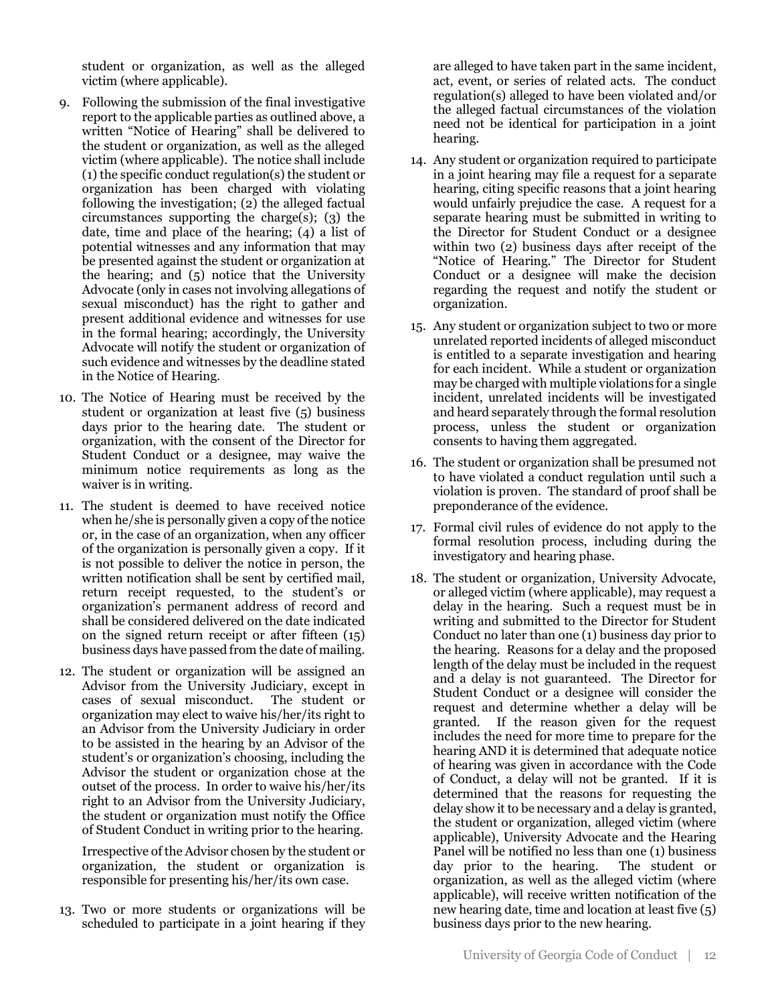student or organization, as well as the alleged victim (where applicable).

- 9. Following the submission of the final investigative report to the applicable parties as outlined above, a written "Notice of Hearing" shall be delivered to the student or organization, as well as the alleged victim (where applicable). The notice shall include (1) the specific conduct regulation(s) the student or organization has been charged with violating following the investigation; (2) the alleged factual circumstances supporting the charge(s); (3) the date, time and place of the hearing; (4) a list of potential witnesses and any information that may be presented against the student or organization at the hearing; and (5) notice that the University Advocate (only in cases not involving allegations of sexual misconduct) has the right to gather and present additional evidence and witnesses for use in the formal hearing; accordingly, the University Advocate will notify the student or organization of such evidence and witnesses by the deadline stated in the Notice of Hearing.
- 10. The Notice of Hearing must be received by the student or organization at least five (5) business days prior to the hearing date. The student or organization, with the consent of the Director for Student Conduct or a designee, may waive the minimum notice requirements as long as the waiver is in writing.
- 11. The student is deemed to have received notice when he/she is personally given a copy of the notice or, in the case of an organization, when any officer of the organization is personally given a copy. If it is not possible to deliver the notice in person, the written notification shall be sent by certified mail, return receipt requested, to the student's or organization's permanent address of record and shall be considered delivered on the date indicated on the signed return receipt or after fifteen (15) business days have passed from the date of mailing.
- 12. The student or organization will be assigned an Advisor from the University Judiciary, except in cases of sexual misconduct. The student or organization may elect to waive his/her/its right to an Advisor from the University Judiciary in order to be assisted in the hearing by an Advisor of the student's or organization's choosing, including the Advisor the student or organization chose at the outset of the process. In order to waive his/her/its right to an Advisor from the University Judiciary, the student or organization must notify the Office of Student Conduct in writing prior to the hearing.

Irrespective of the Advisor chosen by the student or organization, the student or organization is responsible for presenting his/her/its own case.

13. Two or more students or organizations will be scheduled to participate in a joint hearing if they

are alleged to have taken part in the same incident, act, event, or series of related acts. The conduct regulation(s) alleged to have been violated and/or the alleged factual circumstances of the violation need not be identical for participation in a joint hearing.

- 14. Any student or organization required to participate in a joint hearing may file a request for a separate hearing, citing specific reasons that a joint hearing would unfairly prejudice the case. A request for a separate hearing must be submitted in writing to the Director for Student Conduct or a designee within two (2) business days after receipt of the "Notice of Hearing." The Director for Student Conduct or a designee will make the decision regarding the request and notify the student or organization.
- 15. Any student or organization subject to two or more unrelated reported incidents of alleged misconduct is entitled to a separate investigation and hearing for each incident. While a student or organization may be charged with multiple violations for a single incident, unrelated incidents will be investigated and heard separately through the formal resolution process, unless the student or organization consents to having them aggregated.
- 16. The student or organization shall be presumed not to have violated a conduct regulation until such a violation is proven. The standard of proof shall be preponderance of the evidence.
- 17. Formal civil rules of evidence do not apply to the formal resolution process, including during the investigatory and hearing phase.
- 18. The student or organization, University Advocate, or alleged victim (where applicable), may request a delay in the hearing. Such a request must be in writing and submitted to the Director for Student Conduct no later than one (1) business day prior to the hearing. Reasons for a delay and the proposed length of the delay must be included in the request and a delay is not guaranteed. The Director for Student Conduct or a designee will consider the request and determine whether a delay will be granted. If the reason given for the request includes the need for more time to prepare for the hearing AND it is determined that adequate notice of hearing was given in accordance with the Code of Conduct, a delay will not be granted. If it is determined that the reasons for requesting the delay show it to be necessary and a delay is granted, the student or organization, alleged victim (where applicable), University Advocate and the Hearing Panel will be notified no less than one (1) business day prior to the hearing. The student or organization, as well as the alleged victim (where applicable), will receive written notification of the new hearing date, time and location at least five (5) business days prior to the new hearing.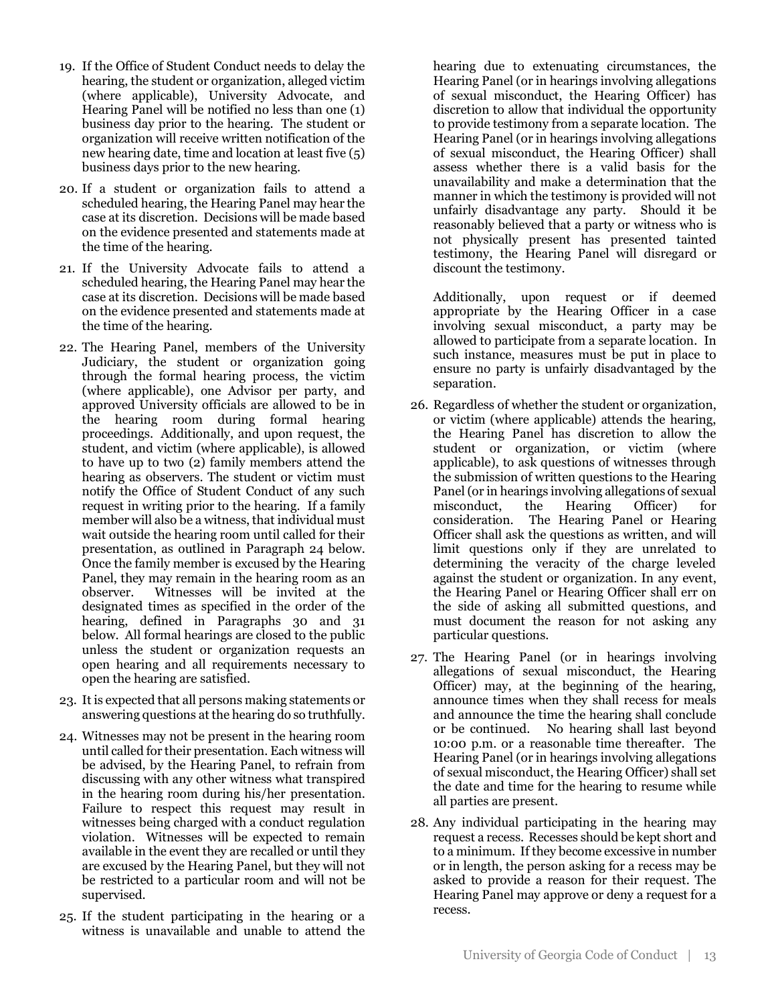- 19. If the Office of Student Conduct needs to delay the hearing, the student or organization, alleged victim (where applicable), University Advocate, and Hearing Panel will be notified no less than one (1) business day prior to the hearing. The student or organization will receive written notification of the new hearing date, time and location at least five (5) business days prior to the new hearing.
- 20. If a student or organization fails to attend a scheduled hearing, the Hearing Panel may hear the case at its discretion. Decisions will be made based on the evidence presented and statements made at the time of the hearing.
- 21. If the University Advocate fails to attend a scheduled hearing, the Hearing Panel may hear the case at its discretion. Decisions will be made based on the evidence presented and statements made at the time of the hearing.
- 22. The Hearing Panel, members of the University Judiciary, the student or organization going through the formal hearing process, the victim (where applicable), one Advisor per party, and approved University officials are allowed to be in the hearing room during formal hearing proceedings. Additionally, and upon request, the student, and victim (where applicable), is allowed to have up to two (2) family members attend the hearing as observers. The student or victim must notify the Office of Student Conduct of any such request in writing prior to the hearing. If a family member will also be a witness, that individual must wait outside the hearing room until called for their presentation, as outlined in Paragraph 24 below. Once the family member is excused by the Hearing Panel, they may remain in the hearing room as an observer. Witnesses will be invited at the designated times as specified in the order of the hearing, defined in Paragraphs 30 and 31 below. All formal hearings are closed to the public unless the student or organization requests an open hearing and all requirements necessary to open the hearing are satisfied.
- 23. It is expected that all persons making statements or answering questions at the hearing do so truthfully.
- 24. Witnesses may not be present in the hearing room until called for their presentation. Each witness will be advised, by the Hearing Panel, to refrain from discussing with any other witness what transpired in the hearing room during his/her presentation. Failure to respect this request may result in witnesses being charged with a conduct regulation violation. Witnesses will be expected to remain available in the event they are recalled or until they are excused by the Hearing Panel, but they will not be restricted to a particular room and will not be supervised.
- 25. If the student participating in the hearing or a witness is unavailable and unable to attend the

hearing due to extenuating circumstances, the Hearing Panel (or in hearings involving allegations of sexual misconduct, the Hearing Officer) has discretion to allow that individual the opportunity to provide testimony from a separate location. The Hearing Panel (or in hearings involving allegations of sexual misconduct, the Hearing Officer) shall assess whether there is a valid basis for the unavailability and make a determination that the manner in which the testimony is provided will not unfairly disadvantage any party. Should it be reasonably believed that a party or witness who is not physically present has presented tainted testimony, the Hearing Panel will disregard or discount the testimony.

Additionally, upon request or if deemed appropriate by the Hearing Officer in a case involving sexual misconduct, a party may be allowed to participate from a separate location. In such instance, measures must be put in place to ensure no party is unfairly disadvantaged by the separation.

- 26. Regardless of whether the student or organization, or victim (where applicable) attends the hearing, the Hearing Panel has discretion to allow the student or organization, or victim (where applicable), to ask questions of witnesses through the submission of written questions to the Hearing Panel (or in hearings involving allegations of sexual misconduct, the Hearing Officer) for consideration. The Hearing Panel or Hearing Officer shall ask the questions as written, and will limit questions only if they are unrelated to determining the veracity of the charge leveled against the student or organization. In any event, the Hearing Panel or Hearing Officer shall err on the side of asking all submitted questions, and must document the reason for not asking any particular questions.
- 27. The Hearing Panel (or in hearings involving allegations of sexual misconduct, the Hearing Officer) may, at the beginning of the hearing, announce times when they shall recess for meals and announce the time the hearing shall conclude or be continued. No hearing shall last beyond 10:00 p.m. or a reasonable time thereafter. The Hearing Panel (or in hearings involving allegations of sexual misconduct, the Hearing Officer) shall set the date and time for the hearing to resume while all parties are present.
- 28. Any individual participating in the hearing may request a recess. Recesses should be kept short and to a minimum. If they become excessive in number or in length, the person asking for a recess may be asked to provide a reason for their request. The Hearing Panel may approve or deny a request for a recess.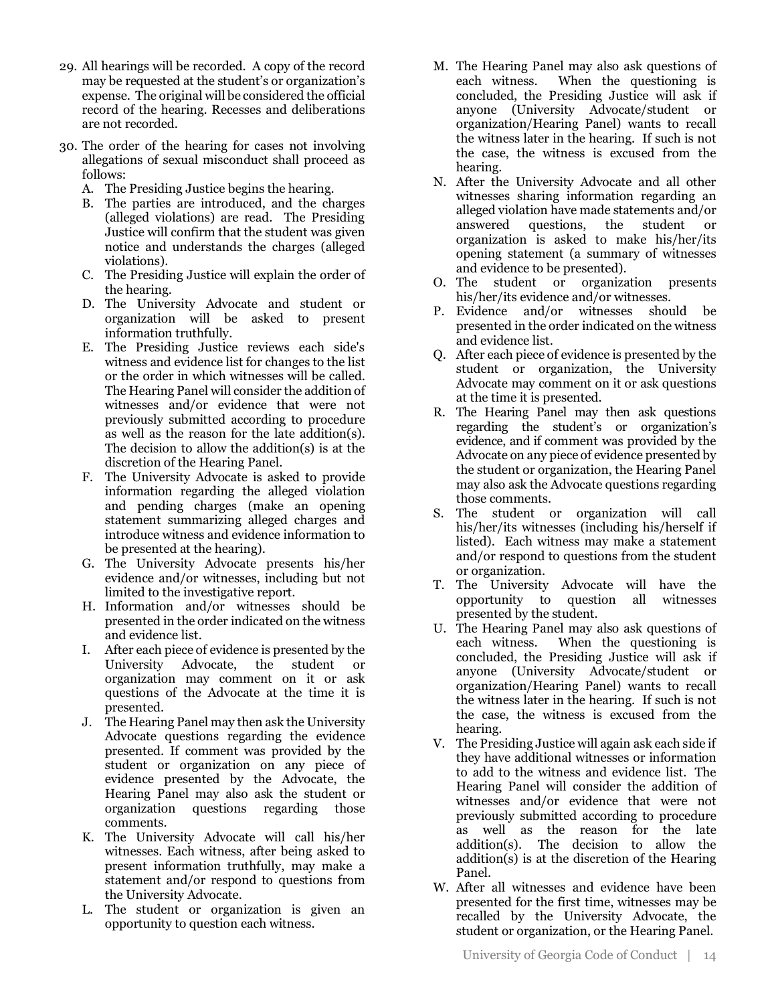- 29. All hearings will be recorded. A copy of the record may be requested at the student's or organization's expense. The original will be considered the official record of the hearing. Recesses and deliberations are not recorded.
- 30. The order of the hearing for cases not involving allegations of sexual misconduct shall proceed as follows:
	- A. The Presiding Justice begins the hearing.
	- B. The parties are introduced, and the charges (alleged violations) are read. The Presiding Justice will confirm that the student was given notice and understands the charges (alleged violations).
	- C. The Presiding Justice will explain the order of the hearing.
	- D. The University Advocate and student or organization will be asked to present information truthfully.
	- E. The Presiding Justice reviews each side's witness and evidence list for changes to the list or the order in which witnesses will be called. The Hearing Panel will consider the addition of witnesses and/or evidence that were not previously submitted according to procedure as well as the reason for the late addition(s). The decision to allow the addition(s) is at the discretion of the Hearing Panel.
	- F. The University Advocate is asked to provide information regarding the alleged violation and pending charges (make an opening statement summarizing alleged charges and introduce witness and evidence information to be presented at the hearing).
	- G. The University Advocate presents his/her evidence and/or witnesses, including but not limited to the investigative report.
	- H. Information and/or witnesses should be presented in the order indicated on the witness and evidence list.
	- I. After each piece of evidence is presented by the University Advocate, the student or organization may comment on it or ask questions of the Advocate at the time it is presented.
	- J. The Hearing Panel may then ask the University Advocate questions regarding the evidence presented. If comment was provided by the student or organization on any piece of evidence presented by the Advocate, the Hearing Panel may also ask the student or organization questions regarding those comments.
	- K. The University Advocate will call his/her witnesses. Each witness, after being asked to present information truthfully, may make a statement and/or respond to questions from the University Advocate.
	- L. The student or organization is given an opportunity to question each witness.
- M. The Hearing Panel may also ask questions of each witness. When the questioning is concluded, the Presiding Justice will ask if anyone (University Advocate/student or organization/Hearing Panel) wants to recall the witness later in the hearing. If such is not the case, the witness is excused from the hearing.
- N. After the University Advocate and all other witnesses sharing information regarding an alleged violation have made statements and/or answered questions, the student or organization is asked to make his/her/its opening statement (a summary of witnesses and evidence to be presented).
- O. The student or organization presents his/her/its evidence and/or witnesses.
- P. Evidence and/or witnesses should be presented in the order indicated on the witness and evidence list.
- Q. After each piece of evidence is presented by the student or organization, the University Advocate may comment on it or ask questions at the time it is presented.
- R. The Hearing Panel may then ask questions regarding the student's or organization's evidence, and if comment was provided by the Advocate on any piece of evidence presented by the student or organization, the Hearing Panel may also ask the Advocate questions regarding those comments.
- S. The student or organization will call his/her/its witnesses (including his/herself if listed). Each witness may make a statement and/or respond to questions from the student or organization.
- T. The University Advocate will have the opportunity to question all witnesses presented by the student.
- U. The Hearing Panel may also ask questions of each witness. When the questioning is concluded, the Presiding Justice will ask if anyone (University Advocate/student or organization/Hearing Panel) wants to recall the witness later in the hearing. If such is not the case, the witness is excused from the hearing.
- V. The Presiding Justice will again ask each side if they have additional witnesses or information to add to the witness and evidence list. The Hearing Panel will consider the addition of witnesses and/or evidence that were not previously submitted according to procedure as well as the reason for the late addition(s). The decision to allow the addition(s) is at the discretion of the Hearing Panel.
- W. After all witnesses and evidence have been presented for the first time, witnesses may be recalled by the University Advocate, the student or organization, or the Hearing Panel.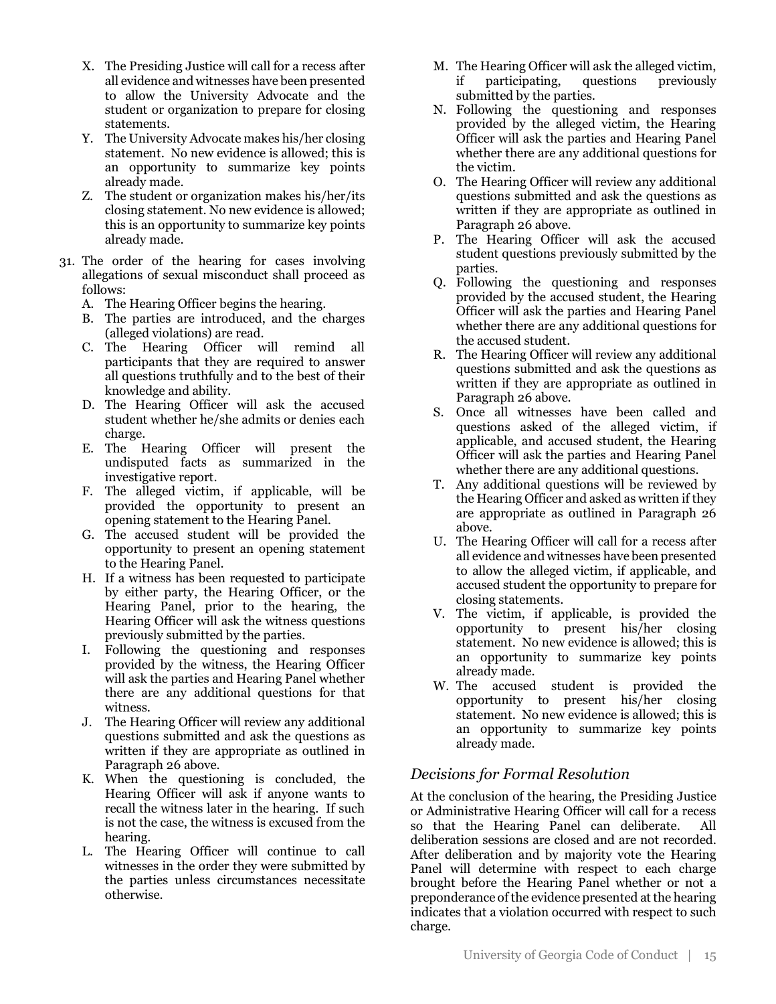- X. The Presiding Justice will call for a recess after all evidence and witnesses have been presented to allow the University Advocate and the student or organization to prepare for closing statements.
- Y. The University Advocate makes his/her closing statement. No new evidence is allowed; this is an opportunity to summarize key points already made.
- Z. The student or organization makes his/her/its closing statement. No new evidence is allowed; this is an opportunity to summarize key points already made.
- 31. The order of the hearing for cases involving allegations of sexual misconduct shall proceed as follows:
	- A. The Hearing Officer begins the hearing.
	- B. The parties are introduced, and the charges (alleged violations) are read.
	- C. The Hearing Officer will remind all participants that they are required to answer all questions truthfully and to the best of their knowledge and ability.
	- D. The Hearing Officer will ask the accused student whether he/she admits or denies each charge.
	- E. The Hearing Officer will present the undisputed facts as summarized in the investigative report.
	- F. The alleged victim, if applicable, will be provided the opportunity to present an opening statement to the Hearing Panel.
	- G. The accused student will be provided the opportunity to present an opening statement to the Hearing Panel.
	- H. If a witness has been requested to participate by either party, the Hearing Officer, or the Hearing Panel, prior to the hearing, the Hearing Officer will ask the witness questions previously submitted by the parties.
	- I. Following the questioning and responses provided by the witness, the Hearing Officer will ask the parties and Hearing Panel whether there are any additional questions for that witness.
	- J. The Hearing Officer will review any additional questions submitted and ask the questions as written if they are appropriate as outlined in Paragraph 26 above.
	- K. When the questioning is concluded, the Hearing Officer will ask if anyone wants to recall the witness later in the hearing. If such is not the case, the witness is excused from the hearing.
	- L. The Hearing Officer will continue to call witnesses in the order they were submitted by the parties unless circumstances necessitate otherwise.
- M. The Hearing Officer will ask the alleged victim, if participating, questions previously submitted by the parties.
- N. Following the questioning and responses provided by the alleged victim, the Hearing Officer will ask the parties and Hearing Panel whether there are any additional questions for the victim.
- O. The Hearing Officer will review any additional questions submitted and ask the questions as written if they are appropriate as outlined in Paragraph 26 above.
- P. The Hearing Officer will ask the accused student questions previously submitted by the parties.
- Q. Following the questioning and responses provided by the accused student, the Hearing Officer will ask the parties and Hearing Panel whether there are any additional questions for the accused student.
- R. The Hearing Officer will review any additional questions submitted and ask the questions as written if they are appropriate as outlined in Paragraph 26 above.
- S. Once all witnesses have been called and questions asked of the alleged victim, if applicable, and accused student, the Hearing Officer will ask the parties and Hearing Panel whether there are any additional questions.
- T. Any additional questions will be reviewed by the Hearing Officer and asked as written if they are appropriate as outlined in Paragraph 26 above.
- U. The Hearing Officer will call for a recess after all evidence and witnesses have been presented to allow the alleged victim, if applicable, and accused student the opportunity to prepare for closing statements.
- V. The victim, if applicable, is provided the opportunity to present his/her closing statement. No new evidence is allowed; this is an opportunity to summarize key points already made.
- W. The accused student is provided the opportunity to present his/her closing statement. No new evidence is allowed; this is an opportunity to summarize key points already made.

### *Decisions for Formal Resolution*

At the conclusion of the hearing, the Presiding Justice or Administrative Hearing Officer will call for a recess so that the Hearing Panel can deliberate. All deliberation sessions are closed and are not recorded. After deliberation and by majority vote the Hearing Panel will determine with respect to each charge brought before the Hearing Panel whether or not a preponderance of the evidence presented at the hearing indicates that a violation occurred with respect to such charge.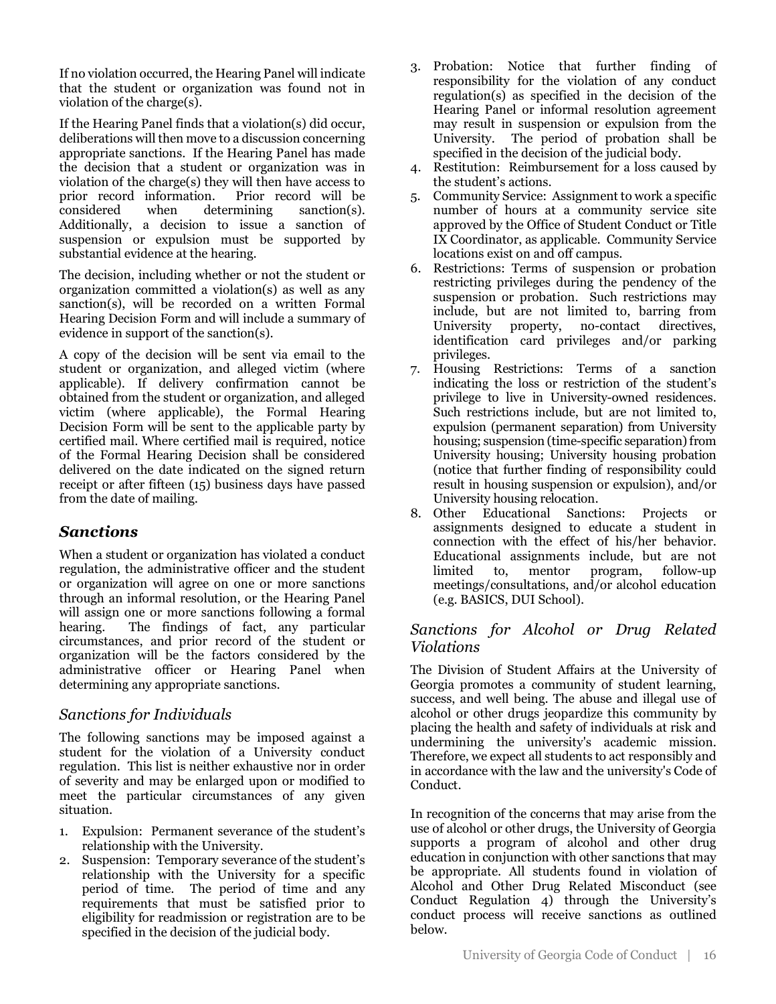If no violation occurred, the Hearing Panel will indicate that the student or organization was found not in violation of the charge(s).

If the Hearing Panel finds that a violation(s) did occur, deliberations will then move to a discussion concerning appropriate sanctions. If the Hearing Panel has made the decision that a student or organization was in violation of the charge(s) they will then have access to prior record information. Prior record will be prior record information. considered when determining sanction(s). Additionally, a decision to issue a sanction of suspension or expulsion must be supported by substantial evidence at the hearing.

The decision, including whether or not the student or organization committed a violation(s) as well as any sanction(s), will be recorded on a written Formal Hearing Decision Form and will include a summary of evidence in support of the sanction(s).

A copy of the decision will be sent via email to the student or organization, and alleged victim (where applicable). If delivery confirmation cannot be obtained from the student or organization, and alleged victim (where applicable), the Formal Hearing Decision Form will be sent to the applicable party by certified mail. Where certified mail is required, notice of the Formal Hearing Decision shall be considered delivered on the date indicated on the signed return receipt or after fifteen (15) business days have passed from the date of mailing.

# *Sanctions*

When a student or organization has violated a conduct regulation, the administrative officer and the student or organization will agree on one or more sanctions through an informal resolution, or the Hearing Panel will assign one or more sanctions following a formal hearing. The findings of fact, any particular circumstances, and prior record of the student or organization will be the factors considered by the administrative officer or Hearing Panel when determining any appropriate sanctions.

# *Sanctions for Individuals*

The following sanctions may be imposed against a student for the violation of a University conduct regulation. This list is neither exhaustive nor in order of severity and may be enlarged upon or modified to meet the particular circumstances of any given situation.

- 1. Expulsion: Permanent severance of the student's relationship with the University.
- 2. Suspension: Temporary severance of the student's relationship with the University for a specific period of time. The period of time and any requirements that must be satisfied prior to eligibility for readmission or registration are to be specified in the decision of the judicial body.
- 3. Probation: Notice that further finding of responsibility for the violation of any conduct regulation(s) as specified in the decision of the Hearing Panel or informal resolution agreement may result in suspension or expulsion from the University. The period of probation shall be specified in the decision of the judicial body.
- 4. Restitution: Reimbursement for a loss caused by the student's actions.
- 5. Community Service: Assignment to work a specific number of hours at a community service site approved by the Office of Student Conduct or Title IX Coordinator, as applicable. Community Service locations exist on and off campus.
- 6. Restrictions: Terms of suspension or probation restricting privileges during the pendency of the suspension or probation. Such restrictions may include, but are not limited to, barring from University property, no-contact directives, identification card privileges and/or parking privileges.
- 7. Housing Restrictions: Terms of a sanction indicating the loss or restriction of the student's privilege to live in University-owned residences. Such restrictions include, but are not limited to, expulsion (permanent separation) from University housing; suspension (time-specific separation) from University housing; University housing probation (notice that further finding of responsibility could result in housing suspension or expulsion), and/or University housing relocation.
- 8. Other Educational Sanctions: Projects or assignments designed to educate a student in connection with the effect of his/her behavior. Educational assignments include, but are not limited to, mentor program, follow-up meetings/consultations, and/or alcohol education (e.g. BASICS, DUI School).

# *Sanctions for Alcohol or Drug Related Violations*

The Division of Student Affairs at the University of Georgia promotes a community of student learning, success, and well being. The abuse and illegal use of alcohol or other drugs jeopardize this community by placing the health and safety of individuals at risk and undermining the university's academic mission. Therefore, we expect all students to act responsibly and in accordance with the law and the university's Code of Conduct.

In recognition of the concerns that may arise from the use of alcohol or other drugs, the University of Georgia supports a program of alcohol and other drug education in conjunction with other sanctions that may be appropriate. All students found in violation of Alcohol and Other Drug Related Misconduct (see Conduct Regulation 4) through the University's conduct process will receive sanctions as outlined below.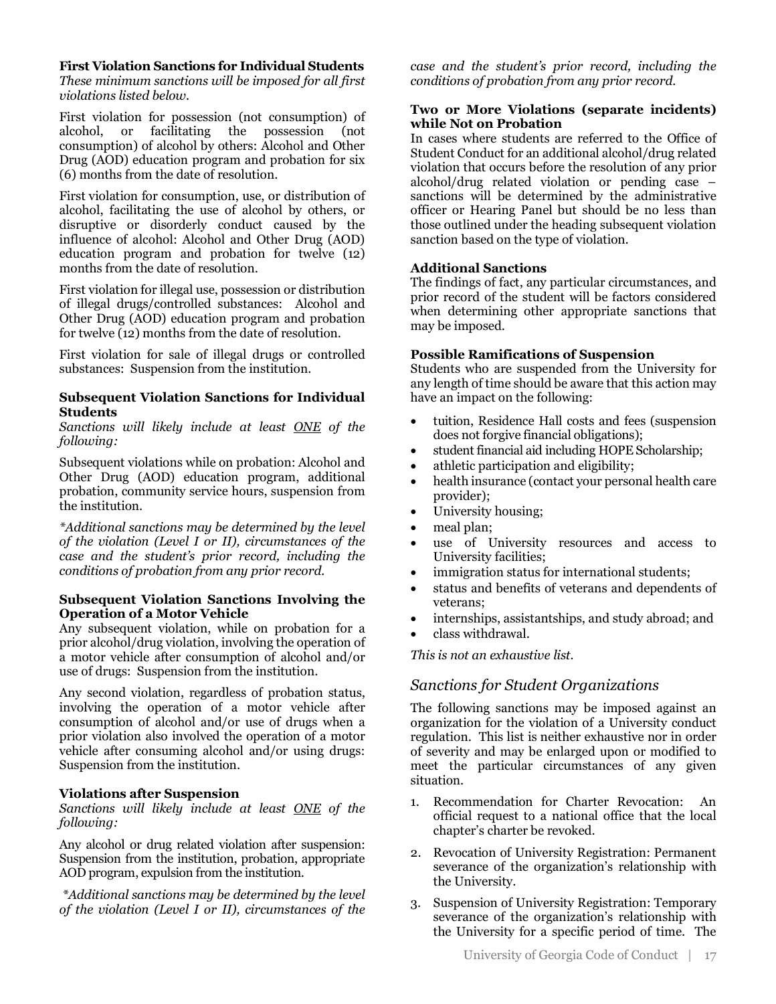**First Violation Sanctions for Individual Students**

*These minimum sanctions will be imposed for all first violations listed below.*

First violation for possession (not consumption) of alcohol, or facilitating the possession (not consumption) of alcohol by others: Alcohol and Other Drug (AOD) education program and probation for six (6) months from the date of resolution.

First violation for consumption, use, or distribution of alcohol, facilitating the use of alcohol by others, or disruptive or disorderly conduct caused by the influence of alcohol: Alcohol and Other Drug (AOD) education program and probation for twelve (12) months from the date of resolution.

First violation for illegal use, possession or distribution of illegal drugs/controlled substances: Alcohol and Other Drug (AOD) education program and probation for twelve (12) months from the date of resolution.

First violation for sale of illegal drugs or controlled substances: Suspension from the institution.

#### **Subsequent Violation Sanctions for Individual Students**

*Sanctions will likely include at least ONE of the following:*

Subsequent violations while on probation: Alcohol and Other Drug (AOD) education program, additional probation, community service hours, suspension from the institution.

*\*Additional sanctions may be determined by the level of the violation (Level I or II), circumstances of the case and the student's prior record, including the conditions of probation from any prior record.* 

#### **Subsequent Violation Sanctions Involving the Operation of a Motor Vehicle**

Any subsequent violation, while on probation for a prior alcohol/drug violation, involving the operation of a motor vehicle after consumption of alcohol and/or use of drugs: Suspension from the institution.

Any second violation, regardless of probation status, involving the operation of a motor vehicle after consumption of alcohol and/or use of drugs when a prior violation also involved the operation of a motor vehicle after consuming alcohol and/or using drugs: Suspension from the institution.

#### **Violations after Suspension**

*Sanctions will likely include at least ONE of the following:*

Any alcohol or drug related violation after suspension: Suspension from the institution, probation, appropriate AOD program, expulsion from the institution.

*\*Additional sanctions may be determined by the level of the violation (Level I or II), circumstances of the*  *case and the student's prior record, including the conditions of probation from any prior record.*

#### **Two or More Violations (separate incidents) while Not on Probation**

In cases where students are referred to the Office of Student Conduct for an additional alcohol/drug related violation that occurs before the resolution of any prior alcohol/drug related violation or pending case – sanctions will be determined by the administrative officer or Hearing Panel but should be no less than those outlined under the heading subsequent violation sanction based on the type of violation.

#### **Additional Sanctions**

The findings of fact, any particular circumstances, and prior record of the student will be factors considered when determining other appropriate sanctions that may be imposed.

#### **Possible Ramifications of Suspension**

Students who are suspended from the University for any length of time should be aware that this action may have an impact on the following:

- tuition, Residence Hall costs and fees (suspension does not forgive financial obligations);
- student financial aid including HOPE Scholarship;
- athletic participation and eligibility;
- health insurance (contact your personal health care provider);
- University housing;
- meal plan;
- use of University resources and access to University facilities;
- immigration status for international students;
- status and benefits of veterans and dependents of veterans;
- internships, assistantships, and study abroad; and
- class withdrawal.

*This is not an exhaustive list.*

### *Sanctions for Student Organizations*

The following sanctions may be imposed against an organization for the violation of a University conduct regulation. This list is neither exhaustive nor in order of severity and may be enlarged upon or modified to meet the particular circumstances of any given situation.

- 1. Recommendation for Charter Revocation: An official request to a national office that the local chapter's charter be revoked.
- 2. Revocation of University Registration: Permanent severance of the organization's relationship with the University.
- 3. Suspension of University Registration: Temporary severance of the organization's relationship with the University for a specific period of time. The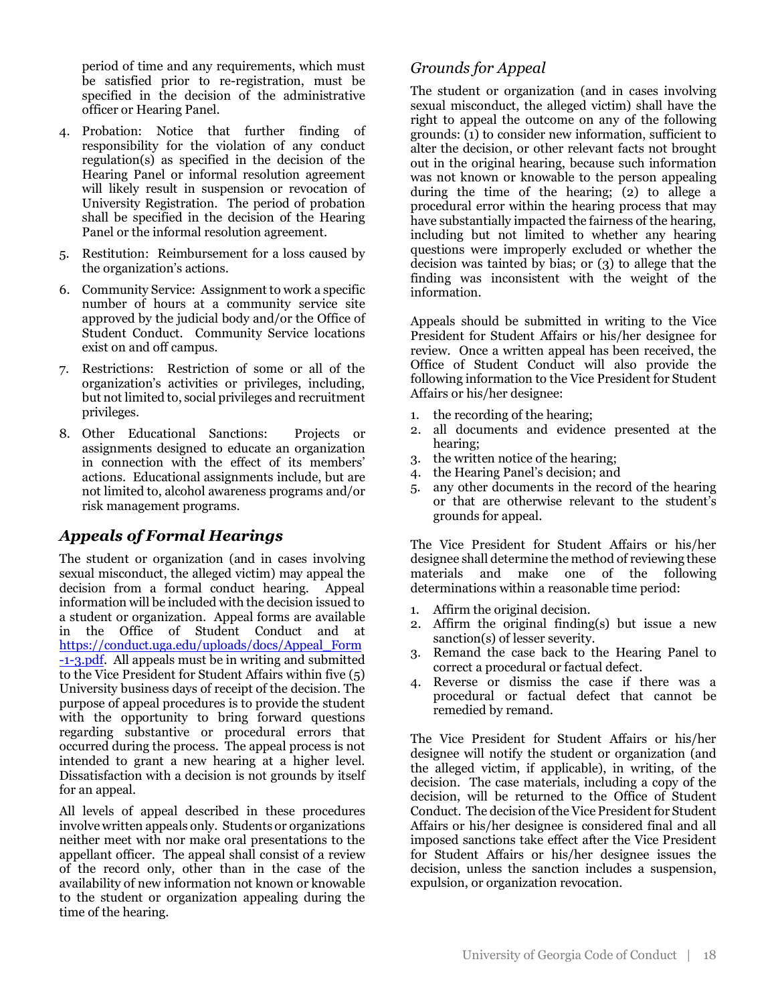period of time and any requirements, which must be satisfied prior to re-registration, must be specified in the decision of the administrative officer or Hearing Panel.

- 4. Probation: Notice that further finding of responsibility for the violation of any conduct regulation(s) as specified in the decision of the Hearing Panel or informal resolution agreement will likely result in suspension or revocation of University Registration. The period of probation shall be specified in the decision of the Hearing Panel or the informal resolution agreement.
- 5. Restitution: Reimbursement for a loss caused by the organization's actions.
- 6. Community Service: Assignment to work a specific number of hours at a community service site approved by the judicial body and/or the Office of Student Conduct. Community Service locations exist on and off campus.
- 7. Restrictions: Restriction of some or all of the organization's activities or privileges, including, but not limited to, social privileges and recruitment privileges.
- 8. Other Educational Sanctions: Projects or assignments designed to educate an organization in connection with the effect of its members' actions. Educational assignments include, but are not limited to, alcohol awareness programs and/or risk management programs.

# *Appeals of Formal Hearings*

The student or organization (and in cases involving sexual misconduct, the alleged victim) may appeal the decision from a formal conduct hearing. Appeal information will be included with the decision issued to a student or organization. Appeal forms are available in the Office of Student Conduct and at https://conduct.uga.edu/uploads/docs/Appeal\_Form -1-3.pdf. All appeals must be in writing and submitted to the Vice President for Student Affairs within five (5) University business days of receipt of the decision. The purpose of appeal procedures is to provide the student with the opportunity to bring forward questions regarding substantive or procedural errors that occurred during the process. The appeal process is not intended to grant a new hearing at a higher level. Dissatisfaction with a decision is not grounds by itself for an appeal.

All levels of appeal described in these procedures involve written appeals only. Students or organizations neither meet with nor make oral presentations to the appellant officer. The appeal shall consist of a review of the record only, other than in the case of the availability of new information not known or knowable to the student or organization appealing during the time of the hearing.

# *Grounds for Appeal*

The student or organization (and in cases involving sexual misconduct, the alleged victim) shall have the right to appeal the outcome on any of the following grounds: (1) to consider new information, sufficient to alter the decision, or other relevant facts not brought out in the original hearing, because such information was not known or knowable to the person appealing during the time of the hearing; (2) to allege a procedural error within the hearing process that may have substantially impacted the fairness of the hearing, including but not limited to whether any hearing questions were improperly excluded or whether the decision was tainted by bias; or (3) to allege that the finding was inconsistent with the weight of the information.

Appeals should be submitted in writing to the Vice President for Student Affairs or his/her designee for review. Once a written appeal has been received, the Office of Student Conduct will also provide the following information to the Vice President for Student Affairs or his/her designee:

- 1. the recording of the hearing;
- 2. all documents and evidence presented at the hearing;
- 3. the written notice of the hearing;
- 4. the Hearing Panel's decision; and
- 5. any other documents in the record of the hearing or that are otherwise relevant to the student's grounds for appeal.

The Vice President for Student Affairs or his/her designee shall determine the method of reviewing these materials and make one of the following determinations within a reasonable time period:

- 1. Affirm the original decision.
- 2. Affirm the original finding(s) but issue a new sanction(s) of lesser severity.
- 3. Remand the case back to the Hearing Panel to correct a procedural or factual defect.
- 4. Reverse or dismiss the case if there was a procedural or factual defect that cannot be remedied by remand.

The Vice President for Student Affairs or his/her designee will notify the student or organization (and the alleged victim, if applicable), in writing, of the decision. The case materials, including a copy of the decision, will be returned to the Office of Student Conduct. The decision of the Vice President for Student Affairs or his/her designee is considered final and all imposed sanctions take effect after the Vice President for Student Affairs or his/her designee issues the decision, unless the sanction includes a suspension, expulsion, or organization revocation.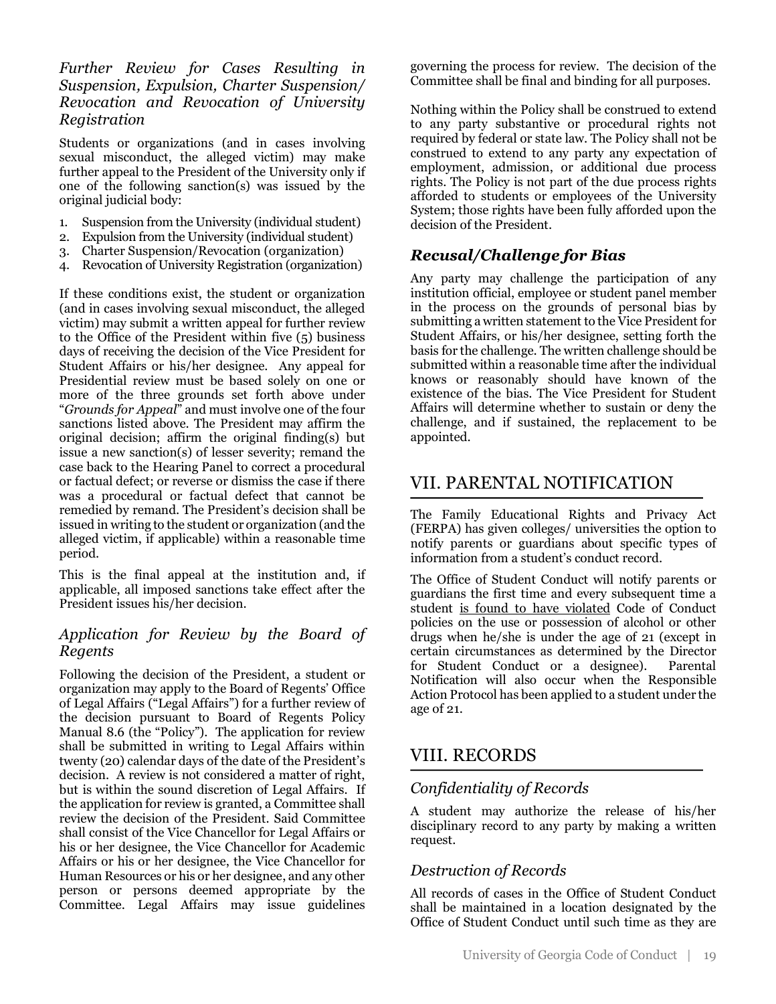### *Further Review for Cases Resulting in Suspension, Expulsion, Charter Suspension/ Revocation and Revocation of University Registration*

Students or organizations (and in cases involving sexual misconduct, the alleged victim) may make further appeal to the President of the University only if one of the following sanction(s) was issued by the original judicial body:

- 1. Suspension from the University (individual student)
- 2. Expulsion from the University (individual student)
- 3. Charter Suspension/Revocation (organization)
- 4. Revocation of University Registration (organization)

If these conditions exist, the student or organization (and in cases involving sexual misconduct, the alleged victim) may submit a written appeal for further review to the Office of the President within five (5) business days of receiving the decision of the Vice President for Student Affairs or his/her designee. Any appeal for Presidential review must be based solely on one or more of the three grounds set forth above under "*Grounds for Appeal*" and must involve one of the four sanctions listed above. The President may affirm the original decision; affirm the original finding(s) but issue a new sanction(s) of lesser severity; remand the case back to the Hearing Panel to correct a procedural or factual defect; or reverse or dismiss the case if there was a procedural or factual defect that cannot be remedied by remand. The President's decision shall be issued in writing to the student or organization (and the alleged victim, if applicable) within a reasonable time period.

This is the final appeal at the institution and, if applicable, all imposed sanctions take effect after the President issues his/her decision.

# *Application for Review by the Board of Regents*

Following the decision of the President, a student or organization may apply to the Board of Regents' Office of Legal Affairs ("Legal Affairs") for a further review of the decision pursuant to Board of Regents Policy Manual 8.6 (the "Policy"). The application for review shall be submitted in writing to Legal Affairs within twenty (20) calendar days of the date of the President's decision. A review is not considered a matter of right, but is within the sound discretion of Legal Affairs. If the application for review is granted, a Committee shall review the decision of the President. Said Committee shall consist of the Vice Chancellor for Legal Affairs or his or her designee, the Vice Chancellor for Academic Affairs or his or her designee, the Vice Chancellor for Human Resources or his or her designee, and any other person or persons deemed appropriate by the Committee. Legal Affairs may issue guidelines

governing the process for review. The decision of the Committee shall be final and binding for all purposes.

Nothing within the Policy shall be construed to extend to any party substantive or procedural rights not required by federal or state law. The Policy shall not be construed to extend to any party any expectation of employment, admission, or additional due process rights. The Policy is not part of the due process rights afforded to students or employees of the University System; those rights have been fully afforded upon the decision of the President.

# *Recusal/Challenge for Bias*

Any party may challenge the participation of any institution official, employee or student panel member in the process on the grounds of personal bias by submitting a written statement to the Vice President for Student Affairs, or his/her designee, setting forth the basis for the challenge. The written challenge should be submitted within a reasonable time after the individual knows or reasonably should have known of the existence of the bias. The Vice President for Student Affairs will determine whether to sustain or deny the challenge, and if sustained, the replacement to be appointed.

# VII. PARENTAL NOTIFICATION

The Family Educational Rights and Privacy Act (FERPA) has given colleges/ universities the option to notify parents or guardians about specific types of information from a student's conduct record.

The Office of Student Conduct will notify parents or guardians the first time and every subsequent time a student is found to have violated Code of Conduct policies on the use or possession of alcohol or other drugs when he/she is under the age of 21 (except in certain circumstances as determined by the Director for Student Conduct or a designee). Parental Notification will also occur when the Responsible Action Protocol has been applied to a student under the age of 21.

# VIII. RECORDS

# *Confidentiality of Records*

A student may authorize the release of his/her disciplinary record to any party by making a written request.

# *Destruction of Records*

All records of cases in the Office of Student Conduct shall be maintained in a location designated by the Office of Student Conduct until such time as they are